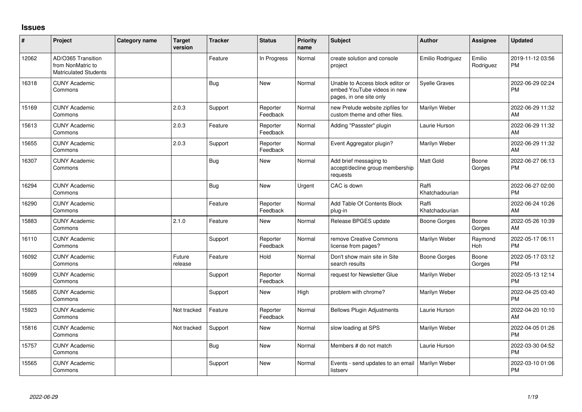## **Issues**

| ∦     | Project                                                                 | Category name | <b>Target</b><br>version | <b>Tracker</b> | <b>Status</b>        | Priority<br>name | <b>Subject</b>                                                                             | <b>Author</b>           | <b>Assignee</b>     | <b>Updated</b>                |
|-------|-------------------------------------------------------------------------|---------------|--------------------------|----------------|----------------------|------------------|--------------------------------------------------------------------------------------------|-------------------------|---------------------|-------------------------------|
| 12062 | AD/O365 Transition<br>from NonMatric to<br><b>Matriculated Students</b> |               |                          | Feature        | In Progress          | Normal           | create solution and console<br>project                                                     | Emilio Rodriguez        | Emilio<br>Rodriguez | 2019-11-12 03:56<br><b>PM</b> |
| 16318 | <b>CUNY Academic</b><br>Commons                                         |               |                          | <b>Bug</b>     | <b>New</b>           | Normal           | Unable to Access block editor or<br>embed YouTube videos in new<br>pages, in one site only | <b>Syelle Graves</b>    |                     | 2022-06-29 02:24<br><b>PM</b> |
| 15169 | <b>CUNY Academic</b><br>Commons                                         |               | 2.0.3                    | Support        | Reporter<br>Feedback | Normal           | new Prelude website zipfiles for<br>custom theme and other files.                          | Marilyn Weber           |                     | 2022-06-29 11:32<br>AM        |
| 15613 | <b>CUNY Academic</b><br>Commons                                         |               | 2.0.3                    | Feature        | Reporter<br>Feedback | Normal           | Adding "Passster" plugin                                                                   | Laurie Hurson           |                     | 2022-06-29 11:32<br>AM        |
| 15655 | <b>CUNY Academic</b><br>Commons                                         |               | 2.0.3                    | Support        | Reporter<br>Feedback | Normal           | Event Aggregator plugin?                                                                   | Marilyn Weber           |                     | 2022-06-29 11:32<br>AM        |
| 16307 | <b>CUNY Academic</b><br>Commons                                         |               |                          | <b>Bug</b>     | <b>New</b>           | Normal           | Add brief messaging to<br>accept/decline group membership<br>requests                      | <b>Matt Gold</b>        | Boone<br>Gorges     | 2022-06-27 06:13<br><b>PM</b> |
| 16294 | <b>CUNY Academic</b><br>Commons                                         |               |                          | <b>Bug</b>     | <b>New</b>           | Urgent           | CAC is down                                                                                | Raffi<br>Khatchadourian |                     | 2022-06-27 02:00<br><b>PM</b> |
| 16290 | <b>CUNY Academic</b><br>Commons                                         |               |                          | Feature        | Reporter<br>Feedback | Normal           | Add Table Of Contents Block<br>plug-in                                                     | Raffi<br>Khatchadourian |                     | 2022-06-24 10:26<br>AM        |
| 15883 | <b>CUNY Academic</b><br>Commons                                         |               | 2.1.0                    | Feature        | <b>New</b>           | Normal           | Release BPGES update                                                                       | Boone Gorges            | Boone<br>Gorges     | 2022-05-26 10:39<br>AM        |
| 16110 | <b>CUNY Academic</b><br>Commons                                         |               |                          | Support        | Reporter<br>Feedback | Normal           | remove Creative Commons<br>license from pages?                                             | Marilyn Weber           | Raymond<br>Hoh      | 2022-05-17 06:11<br><b>PM</b> |
| 16092 | <b>CUNY Academic</b><br>Commons                                         |               | Future<br>release        | Feature        | Hold                 | Normal           | Don't show main site in Site<br>search results                                             | Boone Gorges            | Boone<br>Gorges     | 2022-05-17 03:12<br><b>PM</b> |
| 16099 | <b>CUNY Academic</b><br>Commons                                         |               |                          | Support        | Reporter<br>Feedback | Normal           | request for Newsletter Glue                                                                | Marilyn Weber           |                     | 2022-05-13 12:14<br><b>PM</b> |
| 15685 | <b>CUNY Academic</b><br>Commons                                         |               |                          | Support        | <b>New</b>           | High             | problem with chrome?                                                                       | Marilyn Weber           |                     | 2022-04-25 03:40<br><b>PM</b> |
| 15923 | <b>CUNY Academic</b><br>Commons                                         |               | Not tracked              | Feature        | Reporter<br>Feedback | Normal           | <b>Bellows Plugin Adjustments</b>                                                          | Laurie Hurson           |                     | 2022-04-20 10:10<br>AM        |
| 15816 | <b>CUNY Academic</b><br>Commons                                         |               | Not tracked              | Support        | <b>New</b>           | Normal           | slow loading at SPS                                                                        | Marilyn Weber           |                     | 2022-04-05 01:26<br><b>PM</b> |
| 15757 | <b>CUNY Academic</b><br>Commons                                         |               |                          | Bug            | <b>New</b>           | Normal           | Members # do not match                                                                     | Laurie Hurson           |                     | 2022-03-30 04:52<br><b>PM</b> |
| 15565 | <b>CUNY Academic</b><br>Commons                                         |               |                          | Support        | <b>New</b>           | Normal           | Events - send updates to an email<br>listserv                                              | Marilyn Weber           |                     | 2022-03-10 01:06<br>PM        |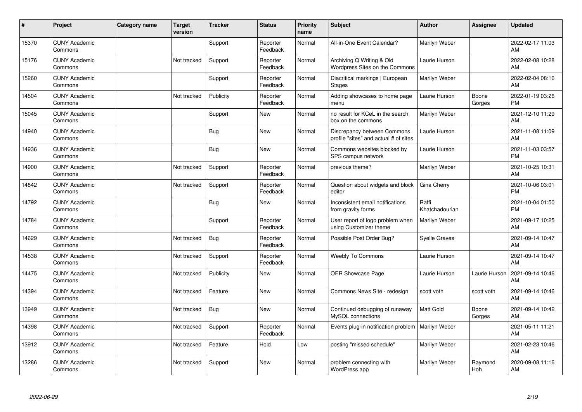| ∦     | Project                         | <b>Category name</b> | <b>Target</b><br>version | <b>Tracker</b> | <b>Status</b>        | <b>Priority</b><br>name | <b>Subject</b>                                                       | <b>Author</b>           | <b>Assignee</b> | <b>Updated</b>                |
|-------|---------------------------------|----------------------|--------------------------|----------------|----------------------|-------------------------|----------------------------------------------------------------------|-------------------------|-----------------|-------------------------------|
| 15370 | <b>CUNY Academic</b><br>Commons |                      |                          | Support        | Reporter<br>Feedback | Normal                  | All-in-One Event Calendar?                                           | Marilyn Weber           |                 | 2022-02-17 11:03<br>AM        |
| 15176 | <b>CUNY Academic</b><br>Commons |                      | Not tracked              | Support        | Reporter<br>Feedback | Normal                  | Archiving Q Writing & Old<br>Wordpress Sites on the Commons          | Laurie Hurson           |                 | 2022-02-08 10:28<br>AM        |
| 15260 | <b>CUNY Academic</b><br>Commons |                      |                          | Support        | Reporter<br>Feedback | Normal                  | Diacritical markings   European<br><b>Stages</b>                     | Marilyn Weber           |                 | 2022-02-04 08:16<br>AM        |
| 14504 | <b>CUNY Academic</b><br>Commons |                      | Not tracked              | Publicity      | Reporter<br>Feedback | Normal                  | Adding showcases to home page<br>menu                                | Laurie Hurson           | Boone<br>Gorges | 2022-01-19 03:26<br><b>PM</b> |
| 15045 | <b>CUNY Academic</b><br>Commons |                      |                          | Support        | <b>New</b>           | Normal                  | no result for KCeL in the search<br>box on the commons               | Marilyn Weber           |                 | 2021-12-10 11:29<br>AM        |
| 14940 | <b>CUNY Academic</b><br>Commons |                      |                          | <b>Bug</b>     | <b>New</b>           | Normal                  | Discrepancy between Commons<br>profile "sites" and actual # of sites | Laurie Hurson           |                 | 2021-11-08 11:09<br>AM        |
| 14936 | <b>CUNY Academic</b><br>Commons |                      |                          | <b>Bug</b>     | <b>New</b>           | Normal                  | Commons websites blocked by<br>SPS campus network                    | Laurie Hurson           |                 | 2021-11-03 03:57<br><b>PM</b> |
| 14900 | <b>CUNY Academic</b><br>Commons |                      | Not tracked              | Support        | Reporter<br>Feedback | Normal                  | previous theme?                                                      | Marilyn Weber           |                 | 2021-10-25 10:31<br>AM        |
| 14842 | <b>CUNY Academic</b><br>Commons |                      | Not tracked              | Support        | Reporter<br>Feedback | Normal                  | Question about widgets and block<br>editor                           | Gina Cherry             |                 | 2021-10-06 03:01<br><b>PM</b> |
| 14792 | <b>CUNY Academic</b><br>Commons |                      |                          | Bug            | <b>New</b>           | Normal                  | Inconsistent email notifications<br>from gravity forms               | Raffi<br>Khatchadourian |                 | 2021-10-04 01:50<br><b>PM</b> |
| 14784 | <b>CUNY Academic</b><br>Commons |                      |                          | Support        | Reporter<br>Feedback | Normal                  | User report of logo problem when<br>using Customizer theme           | Marilyn Weber           |                 | 2021-09-17 10:25<br>AM        |
| 14629 | <b>CUNY Academic</b><br>Commons |                      | Not tracked              | Bug            | Reporter<br>Feedback | Normal                  | Possible Post Order Bug?                                             | <b>Syelle Graves</b>    |                 | 2021-09-14 10:47<br>AM        |
| 14538 | <b>CUNY Academic</b><br>Commons |                      | Not tracked              | Support        | Reporter<br>Feedback | Normal                  | <b>Weebly To Commons</b>                                             | Laurie Hurson           |                 | 2021-09-14 10:47<br>AM        |
| 14475 | <b>CUNY Academic</b><br>Commons |                      | Not tracked              | Publicity      | <b>New</b>           | Normal                  | <b>OER Showcase Page</b>                                             | Laurie Hurson           | Laurie Hurson   | 2021-09-14 10:46<br>AM        |
| 14394 | <b>CUNY Academic</b><br>Commons |                      | Not tracked              | Feature        | <b>New</b>           | Normal                  | Commons News Site - redesign                                         | scott voth              | scott voth      | 2021-09-14 10:46<br>AM        |
| 13949 | <b>CUNY Academic</b><br>Commons |                      | Not tracked              | Bug            | <b>New</b>           | Normal                  | Continued debugging of runaway<br>MySQL connections                  | Matt Gold               | Boone<br>Gorges | 2021-09-14 10:42<br>AM        |
| 14398 | <b>CUNY Academic</b><br>Commons |                      | Not tracked              | Support        | Reporter<br>Feedback | Normal                  | Events plug-in notification problem                                  | Marilyn Weber           |                 | 2021-05-11 11:21<br>AM        |
| 13912 | <b>CUNY Academic</b><br>Commons |                      | Not tracked              | Feature        | Hold                 | Low                     | posting "missed schedule"                                            | Marilyn Weber           |                 | 2021-02-23 10:46<br>AM        |
| 13286 | <b>CUNY Academic</b><br>Commons |                      | Not tracked              | Support        | <b>New</b>           | Normal                  | problem connecting with<br>WordPress app                             | Marilyn Weber           | Raymond<br>Hoh  | 2020-09-08 11:16<br>AM        |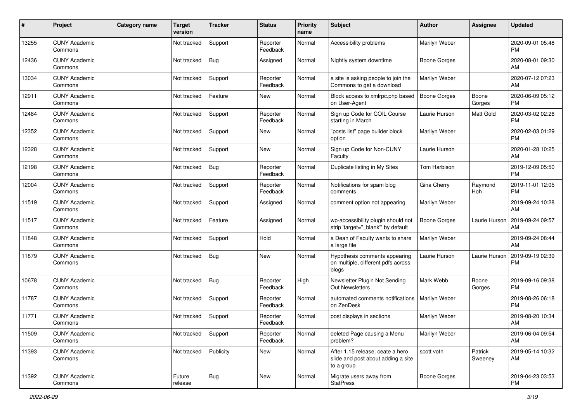| #     | Project                         | <b>Category name</b> | <b>Target</b><br>version | <b>Tracker</b> | <b>Status</b>        | Priority<br>name | <b>Subject</b>                                                                       | <b>Author</b>       | <b>Assignee</b>    | <b>Updated</b>                |
|-------|---------------------------------|----------------------|--------------------------|----------------|----------------------|------------------|--------------------------------------------------------------------------------------|---------------------|--------------------|-------------------------------|
| 13255 | <b>CUNY Academic</b><br>Commons |                      | Not tracked              | Support        | Reporter<br>Feedback | Normal           | Accessibility problems                                                               | Marilyn Weber       |                    | 2020-09-01 05:48<br>PM.       |
| 12436 | <b>CUNY Academic</b><br>Commons |                      | Not tracked              | <b>Bug</b>     | Assigned             | Normal           | Nightly system downtime                                                              | <b>Boone Gorges</b> |                    | 2020-08-01 09:30<br>AM        |
| 13034 | <b>CUNY Academic</b><br>Commons |                      | Not tracked              | Support        | Reporter<br>Feedback | Normal           | a site is asking people to join the<br>Commons to get a download                     | Marilyn Weber       |                    | 2020-07-12 07:23<br>AM        |
| 12911 | <b>CUNY Academic</b><br>Commons |                      | Not tracked              | Feature        | New                  | Normal           | Block access to xmlrpc.php based<br>on User-Agent                                    | <b>Boone Gorges</b> | Boone<br>Gorges    | 2020-06-09 05:12<br><b>PM</b> |
| 12484 | <b>CUNY Academic</b><br>Commons |                      | Not tracked              | Support        | Reporter<br>Feedback | Normal           | Sign up Code for COIL Course<br>starting in March                                    | Laurie Hurson       | Matt Gold          | 2020-03-02 02:26<br><b>PM</b> |
| 12352 | <b>CUNY Academic</b><br>Commons |                      | Not tracked              | Support        | New                  | Normal           | "posts list" page builder block<br>option                                            | Marilyn Weber       |                    | 2020-02-03 01:29<br><b>PM</b> |
| 12328 | <b>CUNY Academic</b><br>Commons |                      | Not tracked              | Support        | <b>New</b>           | Normal           | Sign up Code for Non-CUNY<br>Faculty                                                 | Laurie Hurson       |                    | 2020-01-28 10:25<br>AM        |
| 12198 | <b>CUNY Academic</b><br>Commons |                      | Not tracked              | <b>Bug</b>     | Reporter<br>Feedback | Normal           | Duplicate listing in My Sites                                                        | Tom Harbison        |                    | 2019-12-09 05:50<br><b>PM</b> |
| 12004 | <b>CUNY Academic</b><br>Commons |                      | Not tracked              | Support        | Reporter<br>Feedback | Normal           | Notifications for spam blog<br>comments                                              | Gina Cherry         | Raymond<br>Hoh     | 2019-11-01 12:05<br><b>PM</b> |
| 11519 | <b>CUNY Academic</b><br>Commons |                      | Not tracked              | Support        | Assigned             | Normal           | comment option not appearing                                                         | Marilyn Weber       |                    | 2019-09-24 10:28<br>AM        |
| 11517 | <b>CUNY Academic</b><br>Commons |                      | Not tracked              | Feature        | Assigned             | Normal           | wp-accessibility plugin should not<br>strip 'target="_blank"' by default             | Boone Gorges        | Laurie Hurson      | 2019-09-24 09:57<br>AM        |
| 11848 | <b>CUNY Academic</b><br>Commons |                      | Not tracked              | Support        | Hold                 | Normal           | a Dean of Faculty wants to share<br>a large file                                     | Marilyn Weber       |                    | 2019-09-24 08:44<br>AM        |
| 11879 | <b>CUNY Academic</b><br>Commons |                      | Not tracked              | Bug            | New                  | Normal           | Hypothesis comments appearing<br>on multiple, different pdfs across<br>blogs         | Laurie Hurson       | Laurie Hurson      | 2019-09-19 02:39<br>PM        |
| 10678 | <b>CUNY Academic</b><br>Commons |                      | Not tracked              | Bug            | Reporter<br>Feedback | High             | Newsletter Plugin Not Sending<br><b>Out Newsletters</b>                              | Mark Webb           | Boone<br>Gorges    | 2019-09-16 09:38<br><b>PM</b> |
| 11787 | <b>CUNY Academic</b><br>Commons |                      | Not tracked              | Support        | Reporter<br>Feedback | Normal           | automated comments notifications<br>on ZenDesk                                       | Marilyn Weber       |                    | 2019-08-26 06:18<br><b>PM</b> |
| 11771 | <b>CUNY Academic</b><br>Commons |                      | Not tracked              | Support        | Reporter<br>Feedback | Normal           | post displays in sections                                                            | Marilyn Weber       |                    | 2019-08-20 10:34<br>AM        |
| 11509 | <b>CUNY Academic</b><br>Commons |                      | Not tracked              | Support        | Reporter<br>Feedback | Normal           | deleted Page causing a Menu<br>problem?                                              | Marilyn Weber       |                    | 2019-06-04 09:54<br>AM        |
| 11393 | <b>CUNY Academic</b><br>Commons |                      | Not tracked              | Publicity      | New                  | Normal           | After 1.15 release, ceate a hero<br>slide and post about adding a site<br>to a group | scott voth          | Patrick<br>Sweeney | 2019-05-14 10:32<br>AM        |
| 11392 | <b>CUNY Academic</b><br>Commons |                      | Future<br>release        | <b>Bug</b>     | New                  | Normal           | Migrate users away from<br><b>StatPress</b>                                          | Boone Gorges        |                    | 2019-04-23 03:53<br><b>PM</b> |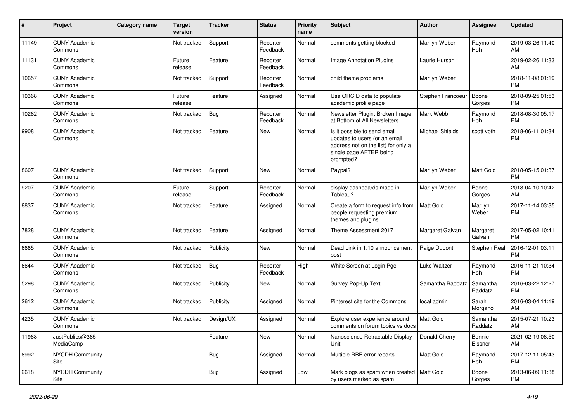| $\pmb{\#}$ | Project                         | <b>Category name</b> | <b>Target</b><br>version | <b>Tracker</b> | <b>Status</b>        | <b>Priority</b><br>name | Subject                                                                                                                                      | Author            | <b>Assignee</b>     | <b>Updated</b>                |
|------------|---------------------------------|----------------------|--------------------------|----------------|----------------------|-------------------------|----------------------------------------------------------------------------------------------------------------------------------------------|-------------------|---------------------|-------------------------------|
| 11149      | <b>CUNY Academic</b><br>Commons |                      | Not tracked              | Support        | Reporter<br>Feedback | Normal                  | comments getting blocked                                                                                                                     | Marilyn Weber     | Raymond<br>Hoh      | 2019-03-26 11:40<br>AM        |
| 11131      | <b>CUNY Academic</b><br>Commons |                      | Future<br>release        | Feature        | Reporter<br>Feedback | Normal                  | Image Annotation Plugins                                                                                                                     | Laurie Hurson     |                     | 2019-02-26 11:33<br>AM        |
| 10657      | <b>CUNY Academic</b><br>Commons |                      | Not tracked              | Support        | Reporter<br>Feedback | Normal                  | child theme problems                                                                                                                         | Marilyn Weber     |                     | 2018-11-08 01:19<br><b>PM</b> |
| 10368      | <b>CUNY Academic</b><br>Commons |                      | Future<br>release        | Feature        | Assigned             | Normal                  | Use ORCID data to populate<br>academic profile page                                                                                          | Stephen Francoeur | Boone<br>Gorges     | 2018-09-25 01:53<br><b>PM</b> |
| 10262      | <b>CUNY Academic</b><br>Commons |                      | Not tracked              | <b>Bug</b>     | Reporter<br>Feedback | Normal                  | Newsletter Plugin: Broken Image<br>at Bottom of All Newsletters                                                                              | Mark Webb         | Raymond<br>Hoh      | 2018-08-30 05:17<br><b>PM</b> |
| 9908       | <b>CUNY Academic</b><br>Commons |                      | Not tracked              | Feature        | New                  | Normal                  | Is it possible to send email<br>updates to users (or an email<br>address not on the list) for only a<br>single page AFTER being<br>prompted? | Michael Shields   | scott voth          | 2018-06-11 01:34<br><b>PM</b> |
| 8607       | <b>CUNY Academic</b><br>Commons |                      | Not tracked              | Support        | New                  | Normal                  | Paypal?                                                                                                                                      | Marilyn Weber     | Matt Gold           | 2018-05-15 01:37<br><b>PM</b> |
| 9207       | <b>CUNY Academic</b><br>Commons |                      | Future<br>release        | Support        | Reporter<br>Feedback | Normal                  | display dashboards made in<br>Tableau?                                                                                                       | Marilyn Weber     | Boone<br>Gorges     | 2018-04-10 10:42<br>AM        |
| 8837       | <b>CUNY Academic</b><br>Commons |                      | Not tracked              | Feature        | Assigned             | Normal                  | Create a form to request info from<br>people requesting premium<br>themes and plugins                                                        | Matt Gold         | Marilyn<br>Weber    | 2017-11-14 03:35<br><b>PM</b> |
| 7828       | <b>CUNY Academic</b><br>Commons |                      | Not tracked              | Feature        | Assigned             | Normal                  | Theme Assessment 2017                                                                                                                        | Margaret Galvan   | Margaret<br>Galvan  | 2017-05-02 10:41<br><b>PM</b> |
| 6665       | <b>CUNY Academic</b><br>Commons |                      | Not tracked              | Publicity      | <b>New</b>           | Normal                  | Dead Link in 1.10 announcement<br>post                                                                                                       | Paige Dupont      | Stephen Real        | 2016-12-01 03:11<br><b>PM</b> |
| 6644       | <b>CUNY Academic</b><br>Commons |                      | Not tracked              | <b>Bug</b>     | Reporter<br>Feedback | High                    | White Screen at Login Pge                                                                                                                    | Luke Waltzer      | Raymond<br>Hoh      | 2016-11-21 10:34<br><b>PM</b> |
| 5298       | <b>CUNY Academic</b><br>Commons |                      | Not tracked              | Publicity      | <b>New</b>           | Normal                  | Survey Pop-Up Text                                                                                                                           | Samantha Raddatz  | Samantha<br>Raddatz | 2016-03-22 12:27<br><b>PM</b> |
| 2612       | <b>CUNY Academic</b><br>Commons |                      | Not tracked              | Publicity      | Assigned             | Normal                  | Pinterest site for the Commons                                                                                                               | local admin       | Sarah<br>Morgano    | 2016-03-04 11:19<br>AM        |
| 4235       | <b>CUNY Academic</b><br>Commons |                      | Not tracked              | Design/UX      | Assigned             | Normal                  | Explore user experience around<br>comments on forum topics vs docs                                                                           | <b>Matt Gold</b>  | Samantha<br>Raddatz | 2015-07-21 10:23<br>AM        |
| 11968      | JustPublics@365<br>MediaCamp    |                      |                          | Feature        | New                  | Normal                  | Nanoscience Retractable Display<br>Unit                                                                                                      | Donald Cherry     | Bonnie<br>Eissner   | 2021-02-19 08:50<br>AM        |
| 8992       | <b>NYCDH Community</b><br>Site  |                      |                          | <b>Bug</b>     | Assigned             | Normal                  | Multiple RBE error reports                                                                                                                   | Matt Gold         | Raymond<br>Hoh      | 2017-12-11 05:43<br><b>PM</b> |
| 2618       | NYCDH Community<br>Site         |                      |                          | Bug            | Assigned             | Low                     | Mark blogs as spam when created   Matt Gold<br>by users marked as spam                                                                       |                   | Boone<br>Gorges     | 2013-06-09 11:38<br>PM        |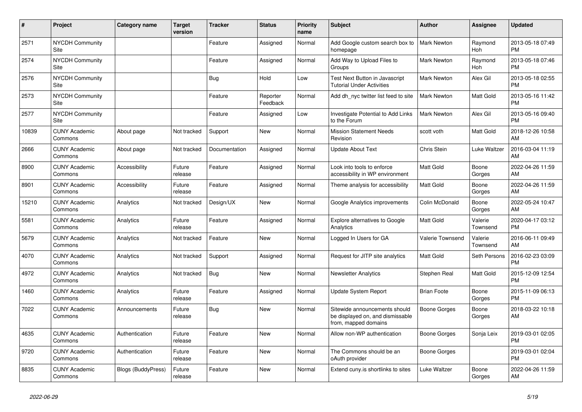| #     | Project                         | <b>Category name</b> | <b>Target</b><br>version | <b>Tracker</b> | <b>Status</b>        | <b>Priority</b><br>name | <b>Subject</b>                                                                            | <b>Author</b>       | Assignee            | <b>Updated</b>                |
|-------|---------------------------------|----------------------|--------------------------|----------------|----------------------|-------------------------|-------------------------------------------------------------------------------------------|---------------------|---------------------|-------------------------------|
| 2571  | <b>NYCDH Community</b><br>Site  |                      |                          | Feature        | Assigned             | Normal                  | Add Google custom search box to<br>homepage                                               | <b>Mark Newton</b>  | Raymond<br>Hoh      | 2013-05-18 07:49<br><b>PM</b> |
| 2574  | <b>NYCDH Community</b><br>Site  |                      |                          | Feature        | Assigned             | Normal                  | Add Way to Upload Files to<br>Groups                                                      | Mark Newton         | Raymond<br>Hoh      | 2013-05-18 07:46<br><b>PM</b> |
| 2576  | <b>NYCDH Community</b><br>Site  |                      |                          | <b>Bug</b>     | Hold                 | Low                     | Test Next Button in Javascript<br><b>Tutorial Under Activities</b>                        | <b>Mark Newton</b>  | Alex Gil            | 2013-05-18 02:55<br><b>PM</b> |
| 2573  | <b>NYCDH Community</b><br>Site  |                      |                          | Feature        | Reporter<br>Feedback | Normal                  | Add dh nyc twitter list feed to site                                                      | <b>Mark Newton</b>  | Matt Gold           | 2013-05-16 11:42<br><b>PM</b> |
| 2577  | <b>NYCDH Community</b><br>Site  |                      |                          | Feature        | Assigned             | Low                     | Investigate Potential to Add Links<br>to the Forum                                        | Mark Newton         | Alex Gil            | 2013-05-16 09:40<br><b>PM</b> |
| 10839 | <b>CUNY Academic</b><br>Commons | About page           | Not tracked              | Support        | <b>New</b>           | Normal                  | <b>Mission Statement Needs</b><br>Revision                                                | scott voth          | Matt Gold           | 2018-12-26 10:58<br>AM        |
| 2666  | <b>CUNY Academic</b><br>Commons | About page           | Not tracked              | Documentation  | Assigned             | Normal                  | <b>Update About Text</b>                                                                  | Chris Stein         | Luke Waltzer        | 2016-03-04 11:19<br>AM        |
| 8900  | <b>CUNY Academic</b><br>Commons | Accessibility        | Future<br>release        | Feature        | Assigned             | Normal                  | Look into tools to enforce<br>accessibility in WP environment                             | <b>Matt Gold</b>    | Boone<br>Gorges     | 2022-04-26 11:59<br>AM        |
| 8901  | <b>CUNY Academic</b><br>Commons | Accessibility        | Future<br>release        | Feature        | Assigned             | Normal                  | Theme analysis for accessibility                                                          | Matt Gold           | Boone<br>Gorges     | 2022-04-26 11:59<br>AM        |
| 15210 | <b>CUNY Academic</b><br>Commons | Analytics            | Not tracked              | Design/UX      | <b>New</b>           | Normal                  | Google Analytics improvements                                                             | Colin McDonald      | Boone<br>Gorges     | 2022-05-24 10:47<br>AM        |
| 5581  | <b>CUNY Academic</b><br>Commons | Analytics            | Future<br>release        | Feature        | Assigned             | Normal                  | Explore alternatives to Google<br>Analytics                                               | Matt Gold           | Valerie<br>Townsend | 2020-04-17 03:12<br><b>PM</b> |
| 5679  | <b>CUNY Academic</b><br>Commons | Analytics            | Not tracked              | Feature        | <b>New</b>           | Normal                  | Logged In Users for GA                                                                    | Valerie Townsend    | Valerie<br>Townsend | 2016-06-11 09:49<br>AM.       |
| 4070  | <b>CUNY Academic</b><br>Commons | Analytics            | Not tracked              | Support        | Assigned             | Normal                  | Request for JITP site analytics                                                           | <b>Matt Gold</b>    | Seth Persons        | 2016-02-23 03:09<br><b>PM</b> |
| 4972  | <b>CUNY Academic</b><br>Commons | Analytics            | Not tracked              | Bug            | <b>New</b>           | Normal                  | <b>Newsletter Analytics</b>                                                               | Stephen Real        | Matt Gold           | 2015-12-09 12:54<br><b>PM</b> |
| 1460  | <b>CUNY Academic</b><br>Commons | Analytics            | Future<br>release        | Feature        | Assigned             | Normal                  | Update System Report                                                                      | <b>Brian Foote</b>  | Boone<br>Gorges     | 2015-11-09 06:13<br><b>PM</b> |
| 7022  | <b>CUNY Academic</b><br>Commons | Announcements        | Future<br>release        | <b>Bug</b>     | <b>New</b>           | Normal                  | Sitewide announcements should<br>be displayed on, and dismissable<br>from, mapped domains | Boone Gorges        | Boone<br>Gorges     | 2018-03-22 10:18<br>AM        |
| 4635  | <b>CUNY Academic</b><br>Commons | Authentication       | Future<br>release        | Feature        | <b>New</b>           | Normal                  | Allow non-WP authentication                                                               | <b>Boone Gorges</b> | Sonja Leix          | 2019-03-01 02:05<br><b>PM</b> |
| 9720  | <b>CUNY Academic</b><br>Commons | Authentication       | Future<br>release        | Feature        | New                  | Normal                  | The Commons should be an<br>oAuth provider                                                | Boone Gorges        |                     | 2019-03-01 02:04<br><b>PM</b> |
| 8835  | <b>CUNY Academic</b><br>Commons | Blogs (BuddyPress)   | Future<br>release        | Feature        | <b>New</b>           | Normal                  | Extend cuny is shortlinks to sites                                                        | Luke Waltzer        | Boone<br>Gorges     | 2022-04-26 11:59<br>AM        |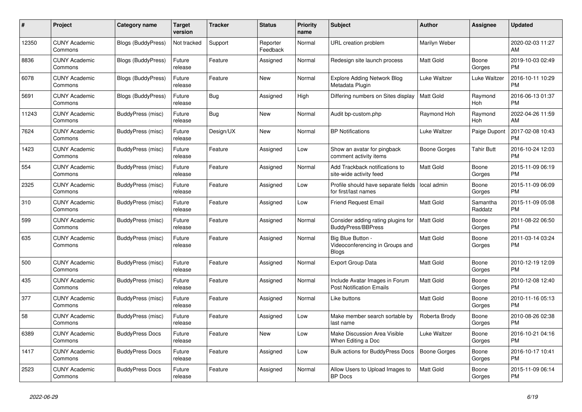| #     | Project                         | <b>Category name</b>      | <b>Target</b><br>version | <b>Tracker</b> | <b>Status</b>        | Priority<br>name | <b>Subject</b>                                                       | <b>Author</b>    | <b>Assignee</b>     | <b>Updated</b>                |
|-------|---------------------------------|---------------------------|--------------------------|----------------|----------------------|------------------|----------------------------------------------------------------------|------------------|---------------------|-------------------------------|
| 12350 | <b>CUNY Academic</b><br>Commons | <b>Blogs (BuddyPress)</b> | Not tracked              | Support        | Reporter<br>Feedback | Normal           | URL creation problem                                                 | Marilyn Weber    |                     | 2020-02-03 11:27<br>AM        |
| 8836  | <b>CUNY Academic</b><br>Commons | <b>Blogs (BuddyPress)</b> | Future<br>release        | Feature        | Assigned             | Normal           | Redesign site launch process                                         | Matt Gold        | Boone<br>Gorges     | 2019-10-03 02:49<br><b>PM</b> |
| 6078  | <b>CUNY Academic</b><br>Commons | <b>Blogs (BuddyPress)</b> | Future<br>release        | Feature        | <b>New</b>           | Normal           | Explore Adding Network Blog<br>Metadata Plugin                       | Luke Waltzer     | Luke Waltzer        | 2016-10-11 10:29<br><b>PM</b> |
| 5691  | <b>CUNY Academic</b><br>Commons | <b>Blogs (BuddyPress)</b> | Future<br>release        | Bug            | Assigned             | High             | Differing numbers on Sites display                                   | <b>Matt Gold</b> | Raymond<br>Hoh      | 2016-06-13 01:37<br><b>PM</b> |
| 11243 | <b>CUNY Academic</b><br>Commons | BuddyPress (misc)         | Future<br>release        | Bug            | New                  | Normal           | Audit bp-custom.php                                                  | Raymond Hoh      | Raymond<br>Hoh      | 2022-04-26 11:59<br>AM        |
| 7624  | <b>CUNY Academic</b><br>Commons | BuddyPress (misc)         | Future<br>release        | Design/UX      | New                  | Normal           | <b>BP Notifications</b>                                              | Luke Waltzer     | Paige Dupont        | 2017-02-08 10:43<br><b>PM</b> |
| 1423  | <b>CUNY Academic</b><br>Commons | BuddyPress (misc)         | Future<br>release        | Feature        | Assigned             | Low              | Show an avatar for pingback<br>comment activity items                | Boone Gorges     | <b>Tahir Butt</b>   | 2016-10-24 12:03<br><b>PM</b> |
| 554   | <b>CUNY Academic</b><br>Commons | BuddyPress (misc)         | Future<br>release        | Feature        | Assigned             | Normal           | Add Trackback notifications to<br>site-wide activity feed            | <b>Matt Gold</b> | Boone<br>Gorges     | 2015-11-09 06:19<br><b>PM</b> |
| 2325  | <b>CUNY Academic</b><br>Commons | BuddyPress (misc)         | Future<br>release        | Feature        | Assigned             | Low              | Profile should have separate fields<br>for first/last names          | local admin      | Boone<br>Gorges     | 2015-11-09 06:09<br><b>PM</b> |
| 310   | <b>CUNY Academic</b><br>Commons | BuddyPress (misc)         | Future<br>release        | Feature        | Assigned             | Low              | <b>Friend Request Email</b>                                          | Matt Gold        | Samantha<br>Raddatz | 2015-11-09 05:08<br><b>PM</b> |
| 599   | <b>CUNY Academic</b><br>Commons | <b>BuddyPress (misc)</b>  | Future<br>release        | Feature        | Assigned             | Normal           | Consider adding rating plugins for<br><b>BuddyPress/BBPress</b>      | <b>Matt Gold</b> | Boone<br>Gorges     | 2011-08-22 06:50<br><b>PM</b> |
| 635   | <b>CUNY Academic</b><br>Commons | <b>BuddyPress (misc)</b>  | Future<br>release        | Feature        | Assigned             | Normal           | Big Blue Button -<br>Videoconferencing in Groups and<br><b>Blogs</b> | <b>Matt Gold</b> | Boone<br>Gorges     | 2011-03-14 03:24<br><b>PM</b> |
| 500   | <b>CUNY Academic</b><br>Commons | BuddyPress (misc)         | Future<br>release        | Feature        | Assigned             | Normal           | Export Group Data                                                    | Matt Gold        | Boone<br>Gorges     | 2010-12-19 12:09<br><b>PM</b> |
| 435   | <b>CUNY Academic</b><br>Commons | BuddyPress (misc)         | Future<br>release        | Feature        | Assigned             | Normal           | Include Avatar Images in Forum<br><b>Post Notification Emails</b>    | Matt Gold        | Boone<br>Gorges     | 2010-12-08 12:40<br><b>PM</b> |
| 377   | <b>CUNY Academic</b><br>Commons | BuddyPress (misc)         | Future<br>release        | Feature        | Assigned             | Normal           | Like buttons                                                         | <b>Matt Gold</b> | Boone<br>Gorges     | 2010-11-16 05:13<br><b>PM</b> |
| 58    | <b>CUNY Academic</b><br>Commons | BuddyPress (misc)         | Future<br>release        | Feature        | Assigned             | Low              | Make member search sortable by<br>last name                          | Roberta Brody    | Boone<br>Gorges     | 2010-08-26 02:38<br><b>PM</b> |
| 6389  | <b>CUNY Academic</b><br>Commons | <b>BuddyPress Docs</b>    | Future<br>release        | Feature        | <b>New</b>           | Low              | <b>Make Discussion Area Visible</b><br>When Editing a Doc            | Luke Waltzer     | Boone<br>Gorges     | 2016-10-21 04:16<br><b>PM</b> |
| 1417  | <b>CUNY Academic</b><br>Commons | <b>BuddyPress Docs</b>    | Future<br>release        | Feature        | Assigned             | Low              | <b>Bulk actions for BuddyPress Docs</b>                              | Boone Gorges     | Boone<br>Gorges     | 2016-10-17 10:41<br><b>PM</b> |
| 2523  | <b>CUNY Academic</b><br>Commons | <b>BuddyPress Docs</b>    | Future<br>release        | Feature        | Assigned             | Normal           | Allow Users to Upload Images to<br><b>BP</b> Docs                    | Matt Gold        | Boone<br>Gorges     | 2015-11-09 06:14<br><b>PM</b> |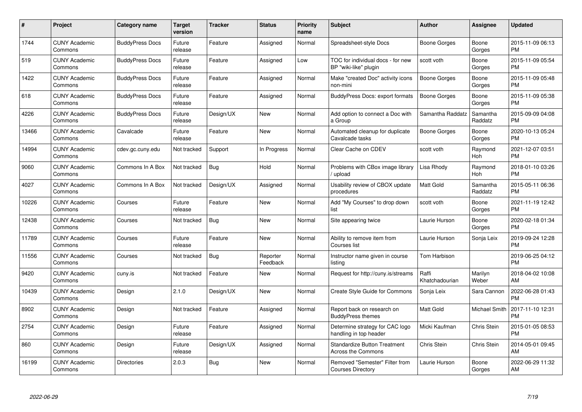| $\#$  | Project                         | <b>Category name</b>   | <b>Target</b><br>version | <b>Tracker</b> | <b>Status</b>        | Priority<br>name | <b>Subject</b>                                                   | <b>Author</b>           | <b>Assignee</b>     | <b>Updated</b>                |
|-------|---------------------------------|------------------------|--------------------------|----------------|----------------------|------------------|------------------------------------------------------------------|-------------------------|---------------------|-------------------------------|
| 1744  | <b>CUNY Academic</b><br>Commons | <b>BuddyPress Docs</b> | Future<br>release        | Feature        | Assigned             | Normal           | Spreadsheet-style Docs                                           | Boone Gorges            | Boone<br>Gorges     | 2015-11-09 06:13<br><b>PM</b> |
| 519   | <b>CUNY Academic</b><br>Commons | <b>BuddyPress Docs</b> | Future<br>release        | Feature        | Assigned             | Low              | TOC for individual docs - for new<br>BP "wiki-like" plugin       | scott voth              | Boone<br>Gorges     | 2015-11-09 05:54<br><b>PM</b> |
| 1422  | <b>CUNY Academic</b><br>Commons | <b>BuddyPress Docs</b> | Future<br>release        | Feature        | Assigned             | Normal           | Make "created Doc" activity icons<br>non-mini                    | Boone Gorges            | Boone<br>Gorges     | 2015-11-09 05:48<br><b>PM</b> |
| 618   | <b>CUNY Academic</b><br>Commons | <b>BuddyPress Docs</b> | Future<br>release        | Feature        | Assigned             | Normal           | <b>BuddyPress Docs: export formats</b>                           | Boone Gorges            | Boone<br>Gorges     | 2015-11-09 05:38<br><b>PM</b> |
| 4226  | <b>CUNY Academic</b><br>Commons | <b>BuddyPress Docs</b> | Future<br>release        | Design/UX      | <b>New</b>           | Normal           | Add option to connect a Doc with<br>a Group                      | Samantha Raddatz        | Samantha<br>Raddatz | 2015-09-09 04:08<br><b>PM</b> |
| 13466 | <b>CUNY Academic</b><br>Commons | Cavalcade              | Future<br>release        | Feature        | <b>New</b>           | Normal           | Automated cleanup for duplicate<br>Cavalcade tasks               | Boone Gorges            | Boone<br>Gorges     | 2020-10-13 05:24<br><b>PM</b> |
| 14994 | <b>CUNY Academic</b><br>Commons | cdev.gc.cuny.edu       | Not tracked              | Support        | In Progress          | Normal           | Clear Cache on CDEV                                              | scott voth              | Raymond<br>Hoh      | 2021-12-07 03:51<br><b>PM</b> |
| 9060  | <b>CUNY Academic</b><br>Commons | Commons In A Box       | Not tracked              | Bug            | Hold                 | Normal           | Problems with CBox image library<br>/ upload                     | Lisa Rhody              | Raymond<br>Hoh      | 2018-01-10 03:26<br><b>PM</b> |
| 4027  | <b>CUNY Academic</b><br>Commons | Commons In A Box       | Not tracked              | Design/UX      | Assigned             | Normal           | Usability review of CBOX update<br>procedures                    | <b>Matt Gold</b>        | Samantha<br>Raddatz | 2015-05-11 06:36<br><b>PM</b> |
| 10226 | <b>CUNY Academic</b><br>Commons | Courses                | Future<br>release        | Feature        | <b>New</b>           | Normal           | Add "My Courses" to drop down<br>list                            | scott voth              | Boone<br>Gorges     | 2021-11-19 12:42<br><b>PM</b> |
| 12438 | <b>CUNY Academic</b><br>Commons | Courses                | Not tracked              | <b>Bug</b>     | <b>New</b>           | Normal           | Site appearing twice                                             | Laurie Hurson           | Boone<br>Gorges     | 2020-02-18 01:34<br><b>PM</b> |
| 11789 | <b>CUNY Academic</b><br>Commons | Courses                | Future<br>release        | Feature        | <b>New</b>           | Normal           | Ability to remove item from<br>Courses list                      | Laurie Hurson           | Sonja Leix          | 2019-09-24 12:28<br><b>PM</b> |
| 11556 | <b>CUNY Academic</b><br>Commons | Courses                | Not tracked              | Bug            | Reporter<br>Feedback | Normal           | Instructor name given in course<br>listina                       | Tom Harbison            |                     | 2019-06-25 04:12<br><b>PM</b> |
| 9420  | <b>CUNY Academic</b><br>Commons | cuny.is                | Not tracked              | Feature        | New                  | Normal           | Request for http://cuny.is/streams                               | Raffi<br>Khatchadourian | Marilyn<br>Weber    | 2018-04-02 10:08<br>AM        |
| 10439 | <b>CUNY Academic</b><br>Commons | Design                 | 2.1.0                    | Design/UX      | <b>New</b>           | Normal           | <b>Create Style Guide for Commons</b>                            | Sonja Leix              | Sara Cannon         | 2022-06-28 01:43<br><b>PM</b> |
| 8902  | <b>CUNY Academic</b><br>Commons | Design                 | Not tracked              | Feature        | Assigned             | Normal           | Report back on research on<br><b>BuddyPress themes</b>           | Matt Gold               | Michael Smith       | 2017-11-10 12:31<br><b>PM</b> |
| 2754  | <b>CUNY Academic</b><br>Commons | Design                 | Future<br>release        | Feature        | Assigned             | Normal           | Determine strategy for CAC logo<br>handling in top header        | Micki Kaufman           | Chris Stein         | 2015-01-05 08:53<br><b>PM</b> |
| 860   | <b>CUNY Academic</b><br>Commons | Design                 | Future<br>release        | Design/UX      | Assigned             | Normal           | <b>Standardize Button Treatment</b><br><b>Across the Commons</b> | Chris Stein             | Chris Stein         | 2014-05-01 09:45<br>AM        |
| 16199 | <b>CUNY Academic</b><br>Commons | <b>Directories</b>     | 2.0.3                    | Bug            | New                  | Normal           | Removed "Semester" Filter from<br><b>Courses Directory</b>       | Laurie Hurson           | Boone<br>Gorges     | 2022-06-29 11:32<br>AM        |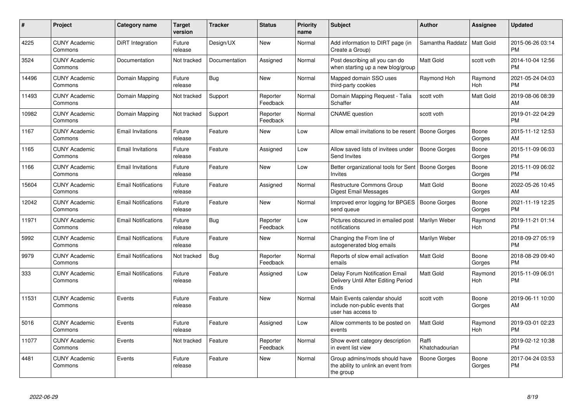| #     | <b>Project</b>                  | Category name              | Target<br>version | <b>Tracker</b> | <b>Status</b>        | <b>Priority</b><br>name | <b>Subject</b>                                                                      | <b>Author</b>           | Assignee        | <b>Updated</b>                |
|-------|---------------------------------|----------------------------|-------------------|----------------|----------------------|-------------------------|-------------------------------------------------------------------------------------|-------------------------|-----------------|-------------------------------|
| 4225  | <b>CUNY Academic</b><br>Commons | DiRT Integration           | Future<br>release | Design/UX      | <b>New</b>           | Normal                  | Add information to DIRT page (in<br>Create a Group)                                 | Samantha Raddatz        | Matt Gold       | 2015-06-26 03:14<br><b>PM</b> |
| 3524  | <b>CUNY Academic</b><br>Commons | Documentation              | Not tracked       | Documentation  | Assigned             | Normal                  | Post describing all you can do<br>when starting up a new blog/group                 | <b>Matt Gold</b>        | scott voth      | 2014-10-04 12:56<br><b>PM</b> |
| 14496 | <b>CUNY Academic</b><br>Commons | Domain Mapping             | Future<br>release | Bug            | <b>New</b>           | Normal                  | Mapped domain SSO uses<br>third-party cookies                                       | Raymond Hoh             | Raymond<br>Hoh  | 2021-05-24 04:03<br><b>PM</b> |
| 11493 | <b>CUNY Academic</b><br>Commons | Domain Mapping             | Not tracked       | Support        | Reporter<br>Feedback | Normal                  | Domain Mapping Request - Talia<br>Schaffer                                          | scott voth              | Matt Gold       | 2019-08-06 08:39<br>AM        |
| 10982 | <b>CUNY Academic</b><br>Commons | Domain Mapping             | Not tracked       | Support        | Reporter<br>Feedback | Normal                  | <b>CNAME</b> question                                                               | scott voth              |                 | 2019-01-22 04:29<br><b>PM</b> |
| 1167  | <b>CUNY Academic</b><br>Commons | <b>Email Invitations</b>   | Future<br>release | Feature        | New                  | Low                     | Allow email invitations to be resent                                                | <b>Boone Gorges</b>     | Boone<br>Gorges | 2015-11-12 12:53<br>AM        |
| 1165  | <b>CUNY Academic</b><br>Commons | <b>Email Invitations</b>   | Future<br>release | Feature        | Assigned             | Low                     | Allow saved lists of invitees under<br>Send Invites                                 | Boone Gorges            | Boone<br>Gorges | 2015-11-09 06:03<br><b>PM</b> |
| 1166  | <b>CUNY Academic</b><br>Commons | <b>Email Invitations</b>   | Future<br>release | Feature        | <b>New</b>           | Low                     | Better organizational tools for Sent<br>Invites                                     | Boone Goraes            | Boone<br>Gorges | 2015-11-09 06:02<br><b>PM</b> |
| 15604 | <b>CUNY Academic</b><br>Commons | <b>Email Notifications</b> | Future<br>release | Feature        | Assigned             | Normal                  | <b>Restructure Commons Group</b><br><b>Digest Email Messages</b>                    | <b>Matt Gold</b>        | Boone<br>Gorges | 2022-05-26 10:45<br>AM        |
| 12042 | <b>CUNY Academic</b><br>Commons | <b>Email Notifications</b> | Future<br>release | Feature        | New                  | Normal                  | Improved error logging for BPGES<br>send queue                                      | Boone Gorges            | Boone<br>Gorges | 2021-11-19 12:25<br><b>PM</b> |
| 11971 | <b>CUNY Academic</b><br>Commons | <b>Email Notifications</b> | Future<br>release | Bug            | Reporter<br>Feedback | Low                     | Pictures obscured in emailed post<br>notifications                                  | Marilyn Weber           | Raymond<br>Hoh  | 2019-11-21 01:14<br><b>PM</b> |
| 5992  | <b>CUNY Academic</b><br>Commons | <b>Email Notifications</b> | Future<br>release | Feature        | New                  | Normal                  | Changing the From line of<br>autogenerated blog emails                              | Marilyn Weber           |                 | 2018-09-27 05:19<br><b>PM</b> |
| 9979  | <b>CUNY Academic</b><br>Commons | <b>Email Notifications</b> | Not tracked       | <b>Bug</b>     | Reporter<br>Feedback | Normal                  | Reports of slow email activation<br>emails                                          | <b>Matt Gold</b>        | Boone<br>Gorges | 2018-08-29 09:40<br><b>PM</b> |
| 333   | <b>CUNY Academic</b><br>Commons | <b>Email Notifications</b> | Future<br>release | Feature        | Assigned             | Low                     | Delay Forum Notification Email<br>Delivery Until After Editing Period<br>Ends       | <b>Matt Gold</b>        | Raymond<br>Hoh  | 2015-11-09 06:01<br><b>PM</b> |
| 11531 | <b>CUNY Academic</b><br>Commons | Events                     | Future<br>release | Feature        | <b>New</b>           | Normal                  | Main Events calendar should<br>include non-public events that<br>user has access to | scott voth              | Boone<br>Gorges | 2019-06-11 10:00<br>AM        |
| 5016  | <b>CUNY Academic</b><br>Commons | Events                     | Future<br>release | Feature        | Assigned             | Low                     | Allow comments to be posted on<br>events                                            | <b>Matt Gold</b>        | Raymond<br>Hoh  | 2019-03-01 02:23<br><b>PM</b> |
| 11077 | <b>CUNY Academic</b><br>Commons | Events                     | Not tracked       | Feature        | Reporter<br>Feedback | Normal                  | Show event category description<br>in event list view                               | Raffi<br>Khatchadourian |                 | 2019-02-12 10:38<br><b>PM</b> |
| 4481  | <b>CUNY Academic</b><br>Commons | Events                     | Future<br>release | Feature        | <b>New</b>           | Normal                  | Group admins/mods should have<br>the ability to unlink an event from<br>the group   | Boone Gorges            | Boone<br>Gorges | 2017-04-24 03:53<br><b>PM</b> |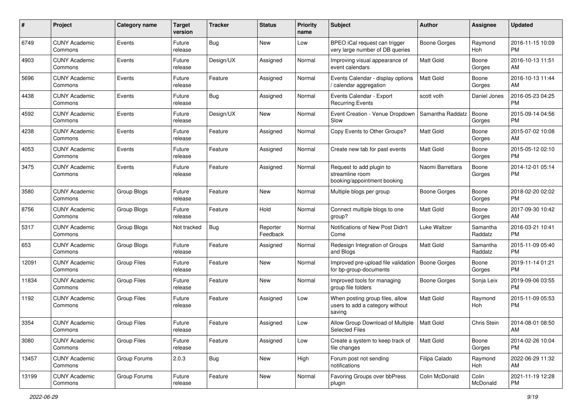| #     | Project                         | <b>Category name</b> | <b>Target</b><br>version | <b>Tracker</b> | <b>Status</b>        | <b>Priority</b><br>name | <b>Subject</b>                                                               | Author              | Assignee            | <b>Updated</b>                |
|-------|---------------------------------|----------------------|--------------------------|----------------|----------------------|-------------------------|------------------------------------------------------------------------------|---------------------|---------------------|-------------------------------|
| 6749  | <b>CUNY Academic</b><br>Commons | Events               | Future<br>release        | Bug            | <b>New</b>           | Low                     | BPEO iCal request can trigger<br>very large number of DB queries             | <b>Boone Gorges</b> | Raymond<br>Hoh      | 2016-11-15 10:09<br>PM        |
| 4903  | <b>CUNY Academic</b><br>Commons | Events               | Future<br>release        | Design/UX      | Assigned             | Normal                  | Improving visual appearance of<br>event calendars                            | <b>Matt Gold</b>    | Boone<br>Gorges     | 2016-10-13 11:51<br>AM        |
| 5696  | <b>CUNY Academic</b><br>Commons | Events               | Future<br>release        | Feature        | Assigned             | Normal                  | Events Calendar - display options<br>calendar aggregation                    | <b>Matt Gold</b>    | Boone<br>Gorges     | 2016-10-13 11:44<br>AM        |
| 4438  | <b>CUNY Academic</b><br>Commons | Events               | Future<br>release        | Bug            | Assigned             | Normal                  | Events Calendar - Export<br><b>Recurring Events</b>                          | scott voth          | Daniel Jones        | 2016-05-23 04:25<br><b>PM</b> |
| 4592  | <b>CUNY Academic</b><br>Commons | Events               | Future<br>release        | Design/UX      | New                  | Normal                  | Event Creation - Venue Dropdown<br>Slow                                      | Samantha Raddatz    | Boone<br>Gorges     | 2015-09-14 04:56<br><b>PM</b> |
| 4238  | <b>CUNY Academic</b><br>Commons | Events               | Future<br>release        | Feature        | Assigned             | Normal                  | Copy Events to Other Groups?                                                 | <b>Matt Gold</b>    | Boone<br>Gorges     | 2015-07-02 10:08<br>AM        |
| 4053  | <b>CUNY Academic</b><br>Commons | Events               | Future<br>release        | Feature        | Assigned             | Normal                  | Create new tab for past events                                               | Matt Gold           | Boone<br>Gorges     | 2015-05-12 02:10<br>PM        |
| 3475  | <b>CUNY Academic</b><br>Commons | Events               | Future<br>release        | Feature        | Assigned             | Normal                  | Request to add plugin to<br>streamline room<br>booking/appointment booking   | Naomi Barrettara    | Boone<br>Gorges     | 2014-12-01 05:14<br>PM.       |
| 3580  | <b>CUNY Academic</b><br>Commons | Group Blogs          | Future<br>release        | Feature        | <b>New</b>           | Normal                  | Multiple blogs per group                                                     | Boone Gorges        | Boone<br>Gorges     | 2018-02-20 02:02<br>PM.       |
| 8756  | <b>CUNY Academic</b><br>Commons | Group Blogs          | Future<br>release        | Feature        | Hold                 | Normal                  | Connect multiple blogs to one<br>group?                                      | <b>Matt Gold</b>    | Boone<br>Gorges     | 2017-09-30 10:42<br>AM        |
| 5317  | <b>CUNY Academic</b><br>Commons | Group Blogs          | Not tracked              | Bug            | Reporter<br>Feedback | Normal                  | Notifications of New Post Didn't<br>Come                                     | Luke Waltzer        | Samantha<br>Raddatz | 2016-03-21 10:41<br><b>PM</b> |
| 653   | <b>CUNY Academic</b><br>Commons | Group Blogs          | Future<br>release        | Feature        | Assigned             | Normal                  | Redesign Integration of Groups<br>and Blogs                                  | Matt Gold           | Samantha<br>Raddatz | 2015-11-09 05:40<br><b>PM</b> |
| 12091 | <b>CUNY Academic</b><br>Commons | <b>Group Files</b>   | Future<br>release        | Feature        | New                  | Normal                  | Improved pre-upload file validation<br>for bp-group-documents                | Boone Gorges        | Boone<br>Gorges     | 2019-11-14 01:21<br><b>PM</b> |
| 11834 | <b>CUNY Academic</b><br>Commons | <b>Group Files</b>   | Future<br>release        | Feature        | New                  | Normal                  | Improved tools for managing<br>group file folders                            | <b>Boone Gorges</b> | Sonja Leix          | 2019-09-06 03:55<br><b>PM</b> |
| 1192  | <b>CUNY Academic</b><br>Commons | <b>Group Files</b>   | Future<br>release        | Feature        | Assigned             | Low                     | When posting group files, allow<br>users to add a category without<br>saving | <b>Matt Gold</b>    | Raymond<br>Hoh      | 2015-11-09 05:53<br><b>PM</b> |
| 3354  | <b>CUNY Academic</b><br>Commons | <b>Group Files</b>   | Future<br>release        | Feature        | Assigned             | Low                     | Allow Group Download of Multiple<br><b>Selected Files</b>                    | Matt Gold           | Chris Stein         | 2014-08-01 08:50<br>AM        |
| 3080  | <b>CUNY Academic</b><br>Commons | <b>Group Files</b>   | Future<br>release        | Feature        | Assigned             | Low                     | Create a system to keep track of<br>file changes                             | <b>Matt Gold</b>    | Boone<br>Gorges     | 2014-02-26 10:04<br><b>PM</b> |
| 13457 | <b>CUNY Academic</b><br>Commons | Group Forums         | 2.0.3                    | <b>Bug</b>     | New                  | High                    | Forum post not sending<br>notifications                                      | Filipa Calado       | Raymond<br>Hoh      | 2022-06-29 11:32<br>AM        |
| 13199 | <b>CUNY Academic</b><br>Commons | Group Forums         | Future<br>release        | Feature        | New                  | Normal                  | Favoring Groups over bbPress<br>plugin                                       | Colin McDonald      | Colin<br>McDonald   | 2021-11-19 12:28<br><b>PM</b> |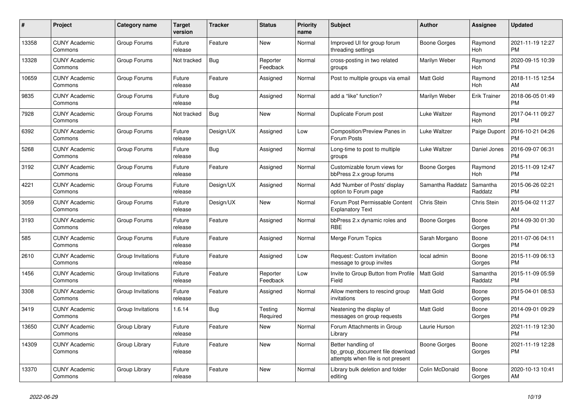| #     | Project                         | <b>Category name</b> | <b>Target</b><br>version | <b>Tracker</b> | <b>Status</b>        | <b>Priority</b><br>name | <b>Subject</b>                                                                             | <b>Author</b>    | Assignee            | <b>Updated</b>                |
|-------|---------------------------------|----------------------|--------------------------|----------------|----------------------|-------------------------|--------------------------------------------------------------------------------------------|------------------|---------------------|-------------------------------|
| 13358 | <b>CUNY Academic</b><br>Commons | Group Forums         | Future<br>release        | Feature        | New                  | Normal                  | Improved UI for group forum<br>threading settings                                          | Boone Gorges     | Raymond<br>Hoh      | 2021-11-19 12:27<br><b>PM</b> |
| 13328 | <b>CUNY Academic</b><br>Commons | Group Forums         | Not tracked              | <b>Bug</b>     | Reporter<br>Feedback | Normal                  | cross-posting in two related<br>groups                                                     | Marilyn Weber    | Raymond<br>Hoh      | 2020-09-15 10:39<br><b>PM</b> |
| 10659 | <b>CUNY Academic</b><br>Commons | Group Forums         | Future<br>release        | Feature        | Assigned             | Normal                  | Post to multiple groups via email                                                          | Matt Gold        | Raymond<br>Hoh      | 2018-11-15 12:54<br>AM        |
| 9835  | <b>CUNY Academic</b><br>Commons | Group Forums         | Future<br>release        | Bug            | Assigned             | Normal                  | add a "like" function?                                                                     | Marilyn Weber    | <b>Erik Trainer</b> | 2018-06-05 01:49<br><b>PM</b> |
| 7928  | <b>CUNY Academic</b><br>Commons | Group Forums         | Not tracked              | Bug            | New                  | Normal                  | Duplicate Forum post                                                                       | Luke Waltzer     | Raymond<br>Hoh      | 2017-04-11 09:27<br><b>PM</b> |
| 6392  | <b>CUNY Academic</b><br>Commons | Group Forums         | Future<br>release        | Design/UX      | Assigned             | Low                     | Composition/Preview Panes in<br>Forum Posts                                                | Luke Waltzer     | Paige Dupont        | 2016-10-21 04:26<br><b>PM</b> |
| 5268  | <b>CUNY Academic</b><br>Commons | Group Forums         | Future<br>release        | Bug            | Assigned             | Normal                  | Long-time to post to multiple<br>groups                                                    | Luke Waltzer     | Daniel Jones        | 2016-09-07 06:31<br><b>PM</b> |
| 3192  | <b>CUNY Academic</b><br>Commons | Group Forums         | Future<br>release        | Feature        | Assigned             | Normal                  | Customizable forum views for<br>bbPress 2.x group forums                                   | Boone Gorges     | Raymond<br>Hoh      | 2015-11-09 12:47<br><b>PM</b> |
| 4221  | <b>CUNY Academic</b><br>Commons | Group Forums         | Future<br>release        | Design/UX      | Assigned             | Normal                  | Add 'Number of Posts' display<br>option to Forum page                                      | Samantha Raddatz | Samantha<br>Raddatz | 2015-06-26 02:21<br><b>PM</b> |
| 3059  | <b>CUNY Academic</b><br>Commons | Group Forums         | Future<br>release        | Design/UX      | <b>New</b>           | Normal                  | Forum Post Permissable Content<br><b>Explanatory Text</b>                                  | Chris Stein      | Chris Stein         | 2015-04-02 11:27<br>AM        |
| 3193  | <b>CUNY Academic</b><br>Commons | Group Forums         | Future<br>release        | Feature        | Assigned             | Normal                  | bbPress 2.x dynamic roles and<br>RBE                                                       | Boone Gorges     | Boone<br>Gorges     | 2014-09-30 01:30<br><b>PM</b> |
| 585   | <b>CUNY Academic</b><br>Commons | Group Forums         | Future<br>release        | Feature        | Assigned             | Normal                  | Merge Forum Topics                                                                         | Sarah Morgano    | Boone<br>Gorges     | 2011-07-06 04:11<br><b>PM</b> |
| 2610  | <b>CUNY Academic</b><br>Commons | Group Invitations    | Future<br>release        | Feature        | Assigned             | Low                     | Request: Custom invitation<br>message to group invites                                     | local admin      | Boone<br>Gorges     | 2015-11-09 06:13<br><b>PM</b> |
| 1456  | <b>CUNY Academic</b><br>Commons | Group Invitations    | Future<br>release        | Feature        | Reporter<br>Feedback | Low                     | Invite to Group Button from Profile<br>Field                                               | <b>Matt Gold</b> | Samantha<br>Raddatz | 2015-11-09 05:59<br><b>PM</b> |
| 3308  | <b>CUNY Academic</b><br>Commons | Group Invitations    | Future<br>release        | Feature        | Assigned             | Normal                  | Allow members to rescind group<br>invitations                                              | Matt Gold        | Boone<br>Gorges     | 2015-04-01 08:53<br><b>PM</b> |
| 3419  | <b>CUNY Academic</b><br>Commons | Group Invitations    | 1.6.14                   | Bug            | Testing<br>Required  | Normal                  | Neatening the display of<br>messages on group requests                                     | <b>Matt Gold</b> | Boone<br>Gorges     | 2014-09-01 09:29<br><b>PM</b> |
| 13650 | <b>CUNY Academic</b><br>Commons | Group Library        | Future<br>release        | Feature        | New                  | Normal                  | Forum Attachments in Group<br>Library                                                      | Laurie Hurson    |                     | 2021-11-19 12:30<br><b>PM</b> |
| 14309 | <b>CUNY Academic</b><br>Commons | Group Library        | Future<br>release        | Feature        | New                  | Normal                  | Better handling of<br>bp group document file download<br>attempts when file is not present | Boone Gorges     | Boone<br>Gorges     | 2021-11-19 12:28<br><b>PM</b> |
| 13370 | <b>CUNY Academic</b><br>Commons | Group Library        | Future<br>release        | Feature        | <b>New</b>           | Normal                  | Library bulk deletion and folder<br>editing                                                | Colin McDonald   | Boone<br>Gorges     | 2020-10-13 10:41<br>AM        |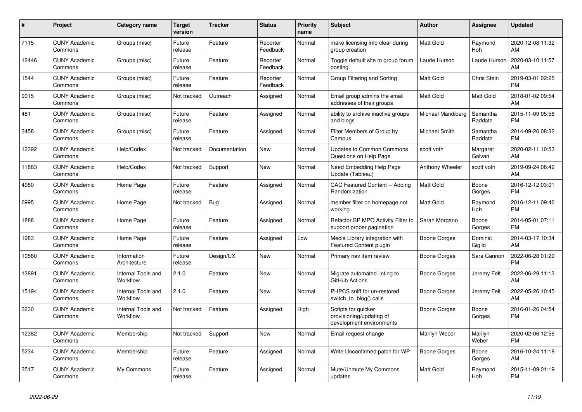| $\#$  | <b>Project</b>                  | <b>Category name</b>           | <b>Target</b><br>version | <b>Tracker</b> | <b>Status</b>        | <b>Priority</b><br>name | <b>Subject</b>                                                              | <b>Author</b>     | Assignee            | <b>Updated</b>                |
|-------|---------------------------------|--------------------------------|--------------------------|----------------|----------------------|-------------------------|-----------------------------------------------------------------------------|-------------------|---------------------|-------------------------------|
| 7115  | <b>CUNY Academic</b><br>Commons | Groups (misc)                  | Future<br>release        | Feature        | Reporter<br>Feedback | Normal                  | make licensing info clear during<br>group creation                          | <b>Matt Gold</b>  | Raymond<br>Hoh      | 2020-12-08 11:32<br>AM        |
| 12446 | <b>CUNY Academic</b><br>Commons | Groups (misc)                  | Future<br>release        | Feature        | Reporter<br>Feedback | Normal                  | Toggle default site to group forum<br>posting                               | Laurie Hurson     | Laurie Hurson       | 2020-03-10 11:57<br>AM        |
| 1544  | <b>CUNY Academic</b><br>Commons | Groups (misc)                  | Future<br>release        | Feature        | Reporter<br>Feedback | Normal                  | Group Filtering and Sorting                                                 | <b>Matt Gold</b>  | Chris Stein         | 2019-03-01 02:25<br><b>PM</b> |
| 9015  | <b>CUNY Academic</b><br>Commons | Groups (misc)                  | Not tracked              | Outreach       | Assigned             | Normal                  | Email group admins the email<br>addresses of their groups                   | Matt Gold         | Matt Gold           | 2018-01-02 09:54<br>AM        |
| 481   | <b>CUNY Academic</b><br>Commons | Groups (misc)                  | Future<br>release        | Feature        | Assigned             | Normal                  | ability to archive inactive groups<br>and blogs                             | Michael Mandiberg | Samantha<br>Raddatz | 2015-11-09 05:56<br><b>PM</b> |
| 3458  | <b>CUNY Academic</b><br>Commons | Groups (misc)                  | Future<br>release        | Feature        | Assigned             | Normal                  | Filter Members of Group by<br>Campus                                        | Michael Smith     | Samantha<br>Raddatz | 2014-09-26 08:32<br><b>PM</b> |
| 12392 | <b>CUNY Academic</b><br>Commons | Help/Codex                     | Not tracked              | Documentation  | <b>New</b>           | Normal                  | <b>Updates to Common Commons</b><br>Questions on Help Page                  | scott voth        | Margaret<br>Galvan  | 2020-02-11 10:53<br>AM        |
| 11883 | <b>CUNY Academic</b><br>Commons | Help/Codex                     | Not tracked              | Support        | <b>New</b>           | Normal                  | Need Embedding Help Page<br>Update (Tableau)                                | Anthony Wheeler   | scott voth          | 2019-09-24 08:49<br>AM        |
| 4980  | <b>CUNY Academic</b><br>Commons | Home Page                      | Future<br>release        | Feature        | Assigned             | Normal                  | <b>CAC Featured Content -- Adding</b><br>Randomization                      | Matt Gold         | Boone<br>Gorges     | 2016-12-12 03:01<br><b>PM</b> |
| 6995  | <b>CUNY Academic</b><br>Commons | Home Page                      | Not tracked              | Bug            | Assigned             | Normal                  | member filter on homepage not<br>working                                    | <b>Matt Gold</b>  | Raymond<br>Hoh      | 2016-12-11 09:46<br><b>PM</b> |
| 1888  | <b>CUNY Academic</b><br>Commons | Home Page                      | Future<br>release        | Feature        | Assigned             | Normal                  | Refactor BP MPO Activity Filter to<br>support proper pagination             | Sarah Morgano     | Boone<br>Gorges     | 2014-05-01 07:11<br><b>PM</b> |
| 1983  | <b>CUNY Academic</b><br>Commons | Home Page                      | Future<br>release        | Feature        | Assigned             | Low                     | Media Library integration with<br>Featured Content plugin                   | Boone Gorges      | Dominic<br>Giglio   | 2014-03-17 10:34<br>AM        |
| 10580 | <b>CUNY Academic</b><br>Commons | Information<br>Architecture    | Future<br>release        | Design/UX      | <b>New</b>           | Normal                  | Primary nav item review                                                     | Boone Gorges      | Sara Cannon         | 2022-06-28 01:29<br><b>PM</b> |
| 13891 | <b>CUNY Academic</b><br>Commons | Internal Tools and<br>Workflow | 2.1.0                    | Feature        | <b>New</b>           | Normal                  | Migrate automated linting to<br>GitHub Actions                              | Boone Gorges      | Jeremy Felt         | 2022-06-29 11:13<br>AM        |
| 15194 | <b>CUNY Academic</b><br>Commons | Internal Tools and<br>Workflow | 2.1.0                    | Feature        | <b>New</b>           | Normal                  | PHPCS sniff for un-restored<br>switch_to_blog() calls                       | Boone Gorges      | Jeremy Felt         | 2022-05-26 10:45<br>AM        |
| 3230  | <b>CUNY Academic</b><br>Commons | Internal Tools and<br>Workflow | Not tracked              | Feature        | Assigned             | High                    | Scripts for quicker<br>provisioning/updating of<br>development environments | Boone Gorges      | Boone<br>Gorges     | 2016-01-26 04:54<br><b>PM</b> |
| 12382 | <b>CUNY Academic</b><br>Commons | Membership                     | Not tracked              | Support        | New                  | Normal                  | Email request change                                                        | Marilyn Weber     | Marilyn<br>Weber    | 2020-02-06 12:56<br><b>PM</b> |
| 5234  | <b>CUNY Academic</b><br>Commons | Membership                     | Future<br>release        | Feature        | Assigned             | Normal                  | Write Unconfirmed patch for WP                                              | Boone Gorges      | Boone<br>Gorges     | 2016-10-24 11:18<br>AM        |
| 3517  | CUNY Academic<br>Commons        | My Commons                     | Future<br>release        | Feature        | Assigned             | Normal                  | Mute/Unmute My Commons<br>updates                                           | <b>Matt Gold</b>  | Raymond<br>Hoh      | 2015-11-09 01:19<br><b>PM</b> |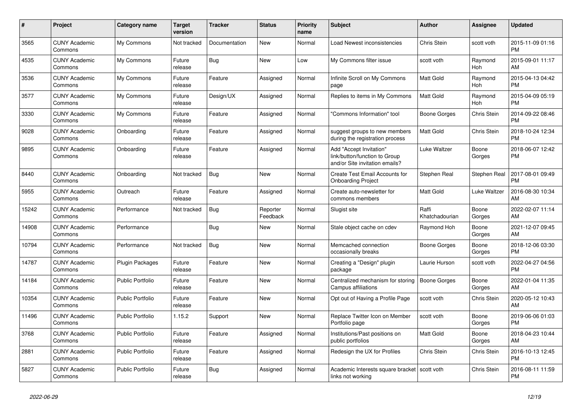| $\#$  | Project                         | <b>Category name</b>    | <b>Target</b><br>version | <b>Tracker</b> | <b>Status</b>        | Priority<br>name | <b>Subject</b>                                                                             | <b>Author</b>           | <b>Assignee</b>    | <b>Updated</b>                |
|-------|---------------------------------|-------------------------|--------------------------|----------------|----------------------|------------------|--------------------------------------------------------------------------------------------|-------------------------|--------------------|-------------------------------|
| 3565  | <b>CUNY Academic</b><br>Commons | My Commons              | Not tracked              | Documentation  | <b>New</b>           | Normal           | Load Newest inconsistencies                                                                | Chris Stein             | scott voth         | 2015-11-09 01:16<br><b>PM</b> |
| 4535  | <b>CUNY Academic</b><br>Commons | My Commons              | Future<br>release        | Bug            | <b>New</b>           | Low              | My Commons filter issue                                                                    | scott voth              | Raymond<br>Hoh     | 2015-09-01 11:17<br>AM        |
| 3536  | <b>CUNY Academic</b><br>Commons | My Commons              | Future<br>release        | Feature        | Assigned             | Normal           | Infinite Scroll on My Commons<br>page                                                      | <b>Matt Gold</b>        | Raymond<br>Hoh     | 2015-04-13 04:42<br><b>PM</b> |
| 3577  | <b>CUNY Academic</b><br>Commons | My Commons              | Future<br>release        | Design/UX      | Assigned             | Normal           | Replies to items in My Commons                                                             | <b>Matt Gold</b>        | Raymond<br>Hoh     | 2015-04-09 05:19<br><b>PM</b> |
| 3330  | <b>CUNY Academic</b><br>Commons | My Commons              | Future<br>release        | Feature        | Assigned             | Normal           | "Commons Information" tool                                                                 | Boone Gorges            | Chris Stein        | 2014-09-22 08:46<br><b>PM</b> |
| 9028  | <b>CUNY Academic</b><br>Commons | Onboarding              | Future<br>release        | Feature        | Assigned             | Normal           | suggest groups to new members<br>during the registration process                           | Matt Gold               | <b>Chris Stein</b> | 2018-10-24 12:34<br><b>PM</b> |
| 9895  | <b>CUNY Academic</b><br>Commons | Onboarding              | Future<br>release        | Feature        | Assigned             | Normal           | Add "Accept Invitation"<br>link/button/function to Group<br>and/or Site invitation emails? | Luke Waltzer            | Boone<br>Gorges    | 2018-06-07 12:42<br><b>PM</b> |
| 8440  | <b>CUNY Academic</b><br>Commons | Onboarding              | Not tracked              | Bug            | New                  | Normal           | Create Test Email Accounts for<br><b>Onboarding Project</b>                                | Stephen Real            | Stephen Real       | 2017-08-01 09:49<br><b>PM</b> |
| 5955  | <b>CUNY Academic</b><br>Commons | Outreach                | Future<br>release        | Feature        | Assigned             | Normal           | Create auto-newsletter for<br>commons members                                              | <b>Matt Gold</b>        | Luke Waltzer       | 2016-08-30 10:34<br>AM        |
| 15242 | <b>CUNY Academic</b><br>Commons | Performance             | Not tracked              | <b>Bug</b>     | Reporter<br>Feedback | Normal           | Slugist site                                                                               | Raffi<br>Khatchadourian | Boone<br>Gorges    | 2022-02-07 11:14<br>AM        |
| 14908 | <b>CUNY Academic</b><br>Commons | Performance             |                          | Bug            | New                  | Normal           | Stale object cache on cdev                                                                 | Raymond Hoh             | Boone<br>Gorges    | 2021-12-07 09:45<br>AM        |
| 10794 | <b>CUNY Academic</b><br>Commons | Performance             | Not tracked              | <b>Bug</b>     | <b>New</b>           | Normal           | Memcached connection<br>occasionally breaks                                                | Boone Gorges            | Boone<br>Gorges    | 2018-12-06 03:30<br><b>PM</b> |
| 14787 | <b>CUNY Academic</b><br>Commons | Plugin Packages         | Future<br>release        | Feature        | <b>New</b>           | Normal           | Creating a "Design" plugin<br>package                                                      | Laurie Hurson           | scott voth         | 2022-04-27 04:56<br><b>PM</b> |
| 14184 | <b>CUNY Academic</b><br>Commons | <b>Public Portfolio</b> | Future<br>release        | Feature        | <b>New</b>           | Normal           | Centralized mechanism for storing<br>Campus affiliations                                   | Boone Gorges            | Boone<br>Gorges    | 2022-01-04 11:35<br>AM        |
| 10354 | <b>CUNY Academic</b><br>Commons | <b>Public Portfolio</b> | Future<br>release        | Feature        | <b>New</b>           | Normal           | Opt out of Having a Profile Page                                                           | scott voth              | Chris Stein        | 2020-05-12 10:43<br>AM        |
| 11496 | <b>CUNY Academic</b><br>Commons | <b>Public Portfolio</b> | 1.15.2                   | Support        | New                  | Normal           | Replace Twitter Icon on Member<br>Portfolio page                                           | scott voth              | Boone<br>Gorges    | 2019-06-06 01:03<br><b>PM</b> |
| 3768  | <b>CUNY Academic</b><br>Commons | <b>Public Portfolio</b> | Future<br>release        | Feature        | Assigned             | Normal           | Institutions/Past positions on<br>public portfolios                                        | <b>Matt Gold</b>        | Boone<br>Gorges    | 2018-04-23 10:44<br>AM        |
| 2881  | <b>CUNY Academic</b><br>Commons | <b>Public Portfolio</b> | Future<br>release        | Feature        | Assigned             | Normal           | Redesign the UX for Profiles                                                               | Chris Stein             | Chris Stein        | 2016-10-13 12:45<br><b>PM</b> |
| 5827  | <b>CUNY Academic</b><br>Commons | <b>Public Portfolio</b> | Future<br>release        | <b>Bug</b>     | Assigned             | Normal           | Academic Interests square bracket   scott voth<br>links not working                        |                         | Chris Stein        | 2016-08-11 11:59<br><b>PM</b> |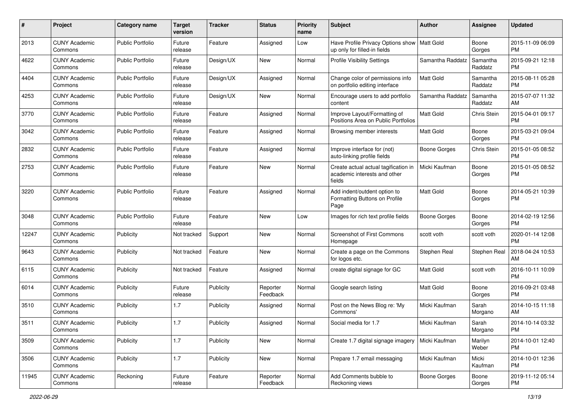| #     | Project                         | <b>Category name</b>    | <b>Target</b><br>version | <b>Tracker</b> | <b>Status</b>        | <b>Priority</b><br>name | <b>Subject</b>                                                                 | <b>Author</b>       | <b>Assignee</b>     | <b>Updated</b>                |
|-------|---------------------------------|-------------------------|--------------------------|----------------|----------------------|-------------------------|--------------------------------------------------------------------------------|---------------------|---------------------|-------------------------------|
| 2013  | <b>CUNY Academic</b><br>Commons | <b>Public Portfolio</b> | Future<br>release        | Feature        | Assigned             | Low                     | Have Profile Privacy Options show   Matt Gold<br>up only for filled-in fields  |                     | Boone<br>Gorges     | 2015-11-09 06:09<br>PM.       |
| 4622  | <b>CUNY Academic</b><br>Commons | <b>Public Portfolio</b> | Future<br>release        | Design/UX      | New                  | Normal                  | <b>Profile Visibility Settings</b>                                             | Samantha Raddatz    | Samantha<br>Raddatz | 2015-09-21 12:18<br><b>PM</b> |
| 4404  | <b>CUNY Academic</b><br>Commons | <b>Public Portfolio</b> | Future<br>release        | Design/UX      | Assigned             | Normal                  | Change color of permissions info<br>on portfolio editing interface             | Matt Gold           | Samantha<br>Raddatz | 2015-08-11 05:28<br><b>PM</b> |
| 4253  | <b>CUNY Academic</b><br>Commons | <b>Public Portfolio</b> | Future<br>release        | Design/UX      | New                  | Normal                  | Encourage users to add portfolio<br>content                                    | Samantha Raddatz    | Samantha<br>Raddatz | 2015-07-07 11:32<br>AM        |
| 3770  | <b>CUNY Academic</b><br>Commons | <b>Public Portfolio</b> | Future<br>release        | Feature        | Assigned             | Normal                  | Improve Layout/Formatting of<br>Positions Area on Public Portfolios            | <b>Matt Gold</b>    | Chris Stein         | 2015-04-01 09:17<br><b>PM</b> |
| 3042  | <b>CUNY Academic</b><br>Commons | <b>Public Portfolio</b> | Future<br>release        | Feature        | Assigned             | Normal                  | Browsing member interests                                                      | Matt Gold           | Boone<br>Gorges     | 2015-03-21 09:04<br>PM.       |
| 2832  | <b>CUNY Academic</b><br>Commons | <b>Public Portfolio</b> | Future<br>release        | Feature        | Assigned             | Normal                  | Improve interface for (not)<br>auto-linking profile fields                     | Boone Gorges        | Chris Stein         | 2015-01-05 08:52<br>PM.       |
| 2753  | <b>CUNY Academic</b><br>Commons | <b>Public Portfolio</b> | Future<br>release        | Feature        | New                  | Normal                  | Create actual actual tagification in<br>academic interests and other<br>fields | Micki Kaufman       | Boone<br>Gorges     | 2015-01-05 08:52<br>PM.       |
| 3220  | <b>CUNY Academic</b><br>Commons | <b>Public Portfolio</b> | Future<br>release        | Feature        | Assigned             | Normal                  | Add indent/outdent option to<br>Formatting Buttons on Profile<br>Page          | <b>Matt Gold</b>    | Boone<br>Gorges     | 2014-05-21 10:39<br>PM.       |
| 3048  | <b>CUNY Academic</b><br>Commons | Public Portfolio        | Future<br>release        | Feature        | New                  | Low                     | Images for rich text profile fields                                            | Boone Gorges        | Boone<br>Gorges     | 2014-02-19 12:56<br>PM.       |
| 12247 | <b>CUNY Academic</b><br>Commons | Publicity               | Not tracked              | Support        | New                  | Normal                  | Screenshot of First Commons<br>Homepage                                        | scott voth          | scott voth          | 2020-01-14 12:08<br><b>PM</b> |
| 9643  | <b>CUNY Academic</b><br>Commons | Publicity               | Not tracked              | Feature        | New                  | Normal                  | Create a page on the Commons<br>for logos etc.                                 | Stephen Real        | Stephen Real        | 2018-04-24 10:53<br>AM.       |
| 6115  | <b>CUNY Academic</b><br>Commons | Publicity               | Not tracked              | Feature        | Assigned             | Normal                  | create digital signage for GC                                                  | <b>Matt Gold</b>    | scott voth          | 2016-10-11 10:09<br>PM.       |
| 6014  | <b>CUNY Academic</b><br>Commons | Publicity               | Future<br>release        | Publicity      | Reporter<br>Feedback | Normal                  | Google search listing                                                          | Matt Gold           | Boone<br>Gorges     | 2016-09-21 03:48<br><b>PM</b> |
| 3510  | <b>CUNY Academic</b><br>Commons | Publicity               | 1.7                      | Publicity      | Assigned             | Normal                  | Post on the News Blog re: 'My<br>Commons'                                      | Micki Kaufman       | Sarah<br>Morgano    | 2014-10-15 11:18<br>AM.       |
| 3511  | <b>CUNY Academic</b><br>Commons | Publicity               | 1.7                      | Publicity      | Assigned             | Normal                  | Social media for 1.7                                                           | Micki Kaufman       | Sarah<br>Morgano    | 2014-10-14 03:32<br>PM        |
| 3509  | <b>CUNY Academic</b><br>Commons | Publicity               | 1.7                      | Publicity      | New                  | Normal                  | Create 1.7 digital signage imagery                                             | Micki Kaufman       | Marilyn<br>Weber    | 2014-10-01 12:40<br>PM        |
| 3506  | <b>CUNY Academic</b><br>Commons | Publicity               | 1.7                      | Publicity      | New                  | Normal                  | Prepare 1.7 email messaging                                                    | Micki Kaufman       | Micki<br>Kaufman    | 2014-10-01 12:36<br><b>PM</b> |
| 11945 | <b>CUNY Academic</b><br>Commons | Reckoning               | Future<br>release        | Feature        | Reporter<br>Feedback | Normal                  | Add Comments bubble to<br>Reckoning views                                      | <b>Boone Gorges</b> | Boone<br>Gorges     | 2019-11-12 05:14<br><b>PM</b> |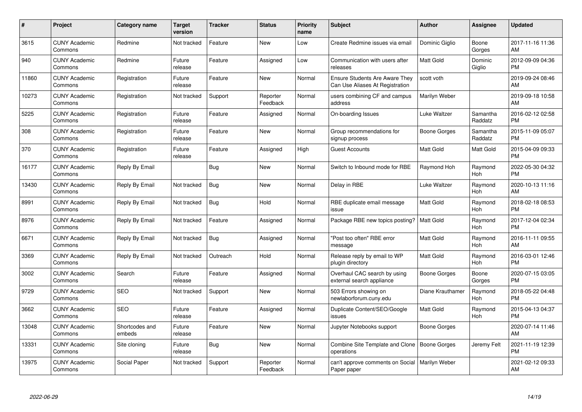| $\#$  | Project                         | <b>Category name</b>     | <b>Target</b><br>version | <b>Tracker</b> | <b>Status</b>        | Priority<br>name | <b>Subject</b>                                                    | <b>Author</b>       | <b>Assignee</b>     | <b>Updated</b>                |
|-------|---------------------------------|--------------------------|--------------------------|----------------|----------------------|------------------|-------------------------------------------------------------------|---------------------|---------------------|-------------------------------|
| 3615  | <b>CUNY Academic</b><br>Commons | Redmine                  | Not tracked              | Feature        | <b>New</b>           | Low              | Create Redmine issues via email                                   | Dominic Giglio      | Boone<br>Gorges     | 2017-11-16 11:36<br>AM        |
| 940   | <b>CUNY Academic</b><br>Commons | Redmine                  | Future<br>release        | Feature        | Assigned             | Low              | Communication with users after<br>releases                        | <b>Matt Gold</b>    | Dominic<br>Giglio   | 2012-09-09 04:36<br><b>PM</b> |
| 11860 | <b>CUNY Academic</b><br>Commons | Registration             | Future<br>release        | Feature        | <b>New</b>           | Normal           | Ensure Students Are Aware They<br>Can Use Aliases At Registration | scott voth          |                     | 2019-09-24 08:46<br>AM        |
| 10273 | <b>CUNY Academic</b><br>Commons | Registration             | Not tracked              | Support        | Reporter<br>Feedback | Normal           | users combining CF and campus<br>address                          | Marilyn Weber       |                     | 2019-09-18 10:58<br>AM        |
| 5225  | <b>CUNY Academic</b><br>Commons | Registration             | Future<br>release        | Feature        | Assigned             | Normal           | On-boarding Issues                                                | Luke Waltzer        | Samantha<br>Raddatz | 2016-02-12 02:58<br><b>PM</b> |
| 308   | <b>CUNY Academic</b><br>Commons | Registration             | Future<br>release        | Feature        | <b>New</b>           | Normal           | Group recommendations for<br>signup process                       | <b>Boone Gorges</b> | Samantha<br>Raddatz | 2015-11-09 05:07<br><b>PM</b> |
| 370   | <b>CUNY Academic</b><br>Commons | Registration             | Future<br>release        | Feature        | Assigned             | High             | <b>Guest Accounts</b>                                             | <b>Matt Gold</b>    | Matt Gold           | 2015-04-09 09:33<br><b>PM</b> |
| 16177 | <b>CUNY Academic</b><br>Commons | Reply By Email           |                          | Bug            | New                  | Normal           | Switch to Inbound mode for RBE                                    | Raymond Hoh         | Raymond<br>Hoh      | 2022-05-30 04:32<br><b>PM</b> |
| 13430 | <b>CUNY Academic</b><br>Commons | Reply By Email           | Not tracked              | <b>Bug</b>     | <b>New</b>           | Normal           | Delay in RBE                                                      | Luke Waltzer        | Raymond<br>Hoh      | 2020-10-13 11:16<br>AM        |
| 8991  | <b>CUNY Academic</b><br>Commons | Reply By Email           | Not tracked              | Bug            | Hold                 | Normal           | RBE duplicate email message<br>issue                              | <b>Matt Gold</b>    | Raymond<br>Hoh      | 2018-02-18 08:53<br><b>PM</b> |
| 8976  | <b>CUNY Academic</b><br>Commons | Reply By Email           | Not tracked              | Feature        | Assigned             | Normal           | Package RBE new topics posting?                                   | <b>Matt Gold</b>    | Raymond<br>Hoh      | 2017-12-04 02:34<br><b>PM</b> |
| 6671  | <b>CUNY Academic</b><br>Commons | Reply By Email           | Not tracked              | Bug            | Assigned             | Normal           | "Post too often" RBE error<br>message                             | Matt Gold           | Raymond<br>Hoh      | 2016-11-11 09:55<br>AM        |
| 3369  | <b>CUNY Academic</b><br>Commons | Reply By Email           | Not tracked              | Outreach       | Hold                 | Normal           | Release reply by email to WP<br>plugin directory                  | Matt Gold           | Raymond<br>Hoh      | 2016-03-01 12:46<br><b>PM</b> |
| 3002  | <b>CUNY Academic</b><br>Commons | Search                   | Future<br>release        | Feature        | Assigned             | Normal           | Overhaul CAC search by using<br>external search appliance         | <b>Boone Gorges</b> | Boone<br>Gorges     | 2020-07-15 03:05<br><b>PM</b> |
| 9729  | <b>CUNY Academic</b><br>Commons | <b>SEO</b>               | Not tracked              | Support        | New                  | Normal           | 503 Errors showing on<br>newlaborforum.cuny.edu                   | Diane Krauthamer    | Raymond<br>Hoh      | 2018-05-22 04:48<br><b>PM</b> |
| 3662  | <b>CUNY Academic</b><br>Commons | <b>SEO</b>               | Future<br>release        | Feature        | Assigned             | Normal           | Duplicate Content/SEO/Google<br>issues                            | Matt Gold           | Raymond<br>Hoh      | 2015-04-13 04:37<br><b>PM</b> |
| 13048 | <b>CUNY Academic</b><br>Commons | Shortcodes and<br>embeds | Future<br>release        | Feature        | New                  | Normal           | Jupyter Notebooks support                                         | Boone Gorges        |                     | 2020-07-14 11:46<br>AM        |
| 13331 | <b>CUNY Academic</b><br>Commons | Site cloning             | Future<br>release        | Bug            | New                  | Normal           | Combine Site Template and Clone<br>operations                     | Boone Gorges        | Jeremy Felt         | 2021-11-19 12:39<br><b>PM</b> |
| 13975 | <b>CUNY Academic</b><br>Commons | Social Paper             | Not tracked              | Support        | Reporter<br>Feedback | Normal           | can't approve comments on Social<br>Paper paper                   | Marilyn Weber       |                     | 2021-02-12 09:33<br>AM        |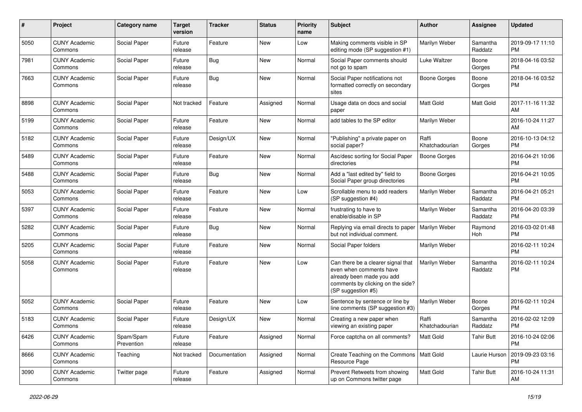| #    | Project                         | <b>Category name</b>    | <b>Target</b><br>version | <b>Tracker</b> | <b>Status</b> | <b>Priority</b><br>name | Subject                                                                                                                                               | Author                  | <b>Assignee</b>     | <b>Updated</b>                |
|------|---------------------------------|-------------------------|--------------------------|----------------|---------------|-------------------------|-------------------------------------------------------------------------------------------------------------------------------------------------------|-------------------------|---------------------|-------------------------------|
| 5050 | <b>CUNY Academic</b><br>Commons | Social Paper            | Future<br>release        | Feature        | <b>New</b>    | Low                     | Making comments visible in SP<br>editing mode (SP suggestion #1)                                                                                      | Marilyn Weber           | Samantha<br>Raddatz | 2019-09-17 11:10<br><b>PM</b> |
| 7981 | <b>CUNY Academic</b><br>Commons | Social Paper            | Future<br>release        | Bug            | New           | Normal                  | Social Paper comments should<br>not go to spam                                                                                                        | Luke Waltzer            | Boone<br>Gorges     | 2018-04-16 03:52<br><b>PM</b> |
| 7663 | <b>CUNY Academic</b><br>Commons | Social Paper            | Future<br>release        | Bug            | <b>New</b>    | Normal                  | Social Paper notifications not<br>formatted correctly on secondary<br>sites                                                                           | <b>Boone Gorges</b>     | Boone<br>Gorges     | 2018-04-16 03:52<br><b>PM</b> |
| 8898 | <b>CUNY Academic</b><br>Commons | Social Paper            | Not tracked              | Feature        | Assigned      | Normal                  | Usage data on docs and social<br>paper                                                                                                                | Matt Gold               | Matt Gold           | 2017-11-16 11:32<br>AM        |
| 5199 | <b>CUNY Academic</b><br>Commons | Social Paper            | Future<br>release        | Feature        | <b>New</b>    | Normal                  | add tables to the SP editor                                                                                                                           | Marilyn Weber           |                     | 2016-10-24 11:27<br>AM        |
| 5182 | <b>CUNY Academic</b><br>Commons | Social Paper            | Future<br>release        | Design/UX      | <b>New</b>    | Normal                  | "Publishing" a private paper on<br>social paper?                                                                                                      | Raffi<br>Khatchadourian | Boone<br>Gorges     | 2016-10-13 04:12<br><b>PM</b> |
| 5489 | <b>CUNY Academic</b><br>Commons | Social Paper            | Future<br>release        | Feature        | New           | Normal                  | Asc/desc sorting for Social Paper<br>directories                                                                                                      | <b>Boone Gorges</b>     |                     | 2016-04-21 10:06<br><b>PM</b> |
| 5488 | <b>CUNY Academic</b><br>Commons | Social Paper            | Future<br>release        | Bug            | <b>New</b>    | Normal                  | Add a "last edited by" field to<br>Social Paper group directories                                                                                     | <b>Boone Gorges</b>     |                     | 2016-04-21 10:05<br><b>PM</b> |
| 5053 | <b>CUNY Academic</b><br>Commons | Social Paper            | Future<br>release        | Feature        | <b>New</b>    | Low                     | Scrollable menu to add readers<br>(SP suggestion #4)                                                                                                  | Marilyn Weber           | Samantha<br>Raddatz | 2016-04-21 05:21<br><b>PM</b> |
| 5397 | <b>CUNY Academic</b><br>Commons | Social Paper            | Future<br>release        | Feature        | New           | Normal                  | frustrating to have to<br>enable/disable in SP                                                                                                        | Marilyn Weber           | Samantha<br>Raddatz | 2016-04-20 03:39<br><b>PM</b> |
| 5282 | <b>CUNY Academic</b><br>Commons | Social Paper            | Future<br>release        | Bug            | New           | Normal                  | Replying via email directs to paper<br>but not individual comment.                                                                                    | Marilyn Weber           | Raymond<br>Hoh      | 2016-03-02 01:48<br><b>PM</b> |
| 5205 | <b>CUNY Academic</b><br>Commons | Social Paper            | Future<br>release        | Feature        | <b>New</b>    | Normal                  | Social Paper folders                                                                                                                                  | Marilyn Weber           |                     | 2016-02-11 10:24<br><b>PM</b> |
| 5058 | <b>CUNY Academic</b><br>Commons | Social Paper            | Future<br>release        | Feature        | <b>New</b>    | Low                     | Can there be a clearer signal that<br>even when comments have<br>already been made you add<br>comments by clicking on the side?<br>(SP suggestion #5) | Marilyn Weber           | Samantha<br>Raddatz | 2016-02-11 10:24<br><b>PM</b> |
| 5052 | <b>CUNY Academic</b><br>Commons | Social Paper            | Future<br>release        | Feature        | New           | Low                     | Sentence by sentence or line by<br>line comments (SP suggestion #3)                                                                                   | Marilyn Weber           | Boone<br>Gorges     | 2016-02-11 10:24<br><b>PM</b> |
| 5183 | <b>CUNY Academic</b><br>Commons | Social Paper            | Future<br>release        | Design/UX      | <b>New</b>    | Normal                  | Creating a new paper when<br>viewing an existing paper                                                                                                | Raffi<br>Khatchadourian | Samantha<br>Raddatz | 2016-02-02 12:09<br><b>PM</b> |
| 6426 | <b>CUNY Academic</b><br>Commons | Spam/Spam<br>Prevention | Future<br>release        | Feature        | Assigned      | Normal                  | Force captcha on all comments?                                                                                                                        | <b>Matt Gold</b>        | <b>Tahir Butt</b>   | 2016-10-24 02:06<br><b>PM</b> |
| 8666 | <b>CUNY Academic</b><br>Commons | Teaching                | Not tracked              | Documentation  | Assigned      | Normal                  | Create Teaching on the Commons   Matt Gold<br>Resource Page                                                                                           |                         | Laurie Hurson       | 2019-09-23 03:16<br><b>PM</b> |
| 3090 | <b>CUNY Academic</b><br>Commons | Twitter page            | Future<br>release        | Feature        | Assigned      | Normal                  | Prevent Retweets from showing<br>up on Commons twitter page                                                                                           | Matt Gold               | <b>Tahir Butt</b>   | 2016-10-24 11:31<br>AM        |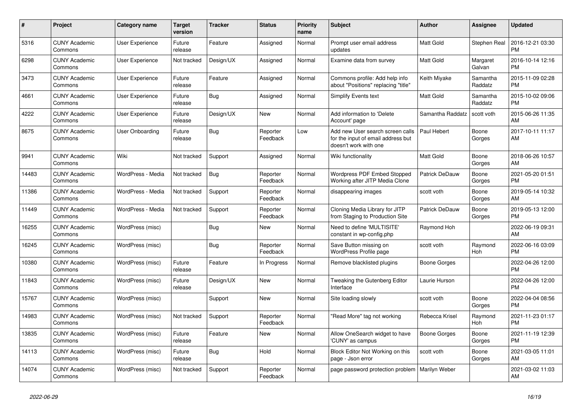| #     | Project                         | Category name          | <b>Target</b><br>version | <b>Tracker</b> | <b>Status</b>        | <b>Priority</b><br>name | <b>Subject</b>                                                                                  | <b>Author</b>       | Assignee            | <b>Updated</b>                |
|-------|---------------------------------|------------------------|--------------------------|----------------|----------------------|-------------------------|-------------------------------------------------------------------------------------------------|---------------------|---------------------|-------------------------------|
| 5316  | <b>CUNY Academic</b><br>Commons | <b>User Experience</b> | Future<br>release        | Feature        | Assigned             | Normal                  | Prompt user email address<br>updates                                                            | <b>Matt Gold</b>    | Stephen Real        | 2016-12-21 03:30<br><b>PM</b> |
| 6298  | <b>CUNY Academic</b><br>Commons | <b>User Experience</b> | Not tracked              | Design/UX      | Assigned             | Normal                  | Examine data from survey                                                                        | <b>Matt Gold</b>    | Margaret<br>Galvan  | 2016-10-14 12:16<br><b>PM</b> |
| 3473  | <b>CUNY Academic</b><br>Commons | <b>User Experience</b> | Future<br>release        | Feature        | Assigned             | Normal                  | Commons profile: Add help info<br>about "Positions" replacing "title"                           | Keith Miyake        | Samantha<br>Raddatz | 2015-11-09 02:28<br><b>PM</b> |
| 4661  | <b>CUNY Academic</b><br>Commons | User Experience        | Future<br>release        | Bug            | Assigned             | Normal                  | Simplify Events text                                                                            | <b>Matt Gold</b>    | Samantha<br>Raddatz | 2015-10-02 09:06<br><b>PM</b> |
| 4222  | <b>CUNY Academic</b><br>Commons | <b>User Experience</b> | Future<br>release        | Design/UX      | New                  | Normal                  | Add information to 'Delete<br>Account' page                                                     | Samantha Raddatz    | scott voth          | 2015-06-26 11:35<br>AM        |
| 8675  | <b>CUNY Academic</b><br>Commons | User Onboarding        | Future<br>release        | Bug            | Reporter<br>Feedback | Low                     | Add new User search screen calls<br>for the input of email address but<br>doesn't work with one | Paul Hebert         | Boone<br>Gorges     | 2017-10-11 11:17<br>AM        |
| 9941  | <b>CUNY Academic</b><br>Commons | Wiki                   | Not tracked              | Support        | Assigned             | Normal                  | Wiki functionality                                                                              | <b>Matt Gold</b>    | Boone<br>Gorges     | 2018-06-26 10:57<br>AM        |
| 14483 | <b>CUNY Academic</b><br>Commons | WordPress - Media      | Not tracked              | <b>Bug</b>     | Reporter<br>Feedback | Normal                  | Wordpress PDF Embed Stopped<br>Working after JITP Media Clone                                   | Patrick DeDauw      | Boone<br>Gorges     | 2021-05-20 01:51<br><b>PM</b> |
| 11386 | <b>CUNY Academic</b><br>Commons | WordPress - Media      | Not tracked              | Support        | Reporter<br>Feedback | Normal                  | disappearing images                                                                             | scott voth          | Boone<br>Gorges     | 2019-05-14 10:32<br>AM        |
| 11449 | <b>CUNY Academic</b><br>Commons | WordPress - Media      | Not tracked              | Support        | Reporter<br>Feedback | Normal                  | Cloning Media Library for JITP<br>from Staging to Production Site                               | Patrick DeDauw      | Boone<br>Gorges     | 2019-05-13 12:00<br><b>PM</b> |
| 16255 | <b>CUNY Academic</b><br>Commons | WordPress (misc)       |                          | Bug            | New                  | Normal                  | Need to define 'MULTISITE'<br>constant in wp-config.php                                         | Raymond Hoh         |                     | 2022-06-19 09:31<br>AM        |
| 16245 | <b>CUNY Academic</b><br>Commons | WordPress (misc)       |                          | Bug            | Reporter<br>Feedback | Normal                  | Save Button missing on<br><b>WordPress Profile page</b>                                         | scott voth          | Raymond<br>Hoh      | 2022-06-16 03:09<br><b>PM</b> |
| 10380 | <b>CUNY Academic</b><br>Commons | WordPress (misc)       | Future<br>release        | Feature        | In Progress          | Normal                  | Remove blacklisted plugins                                                                      | Boone Gorges        |                     | 2022-04-26 12:00<br><b>PM</b> |
| 11843 | <b>CUNY Academic</b><br>Commons | WordPress (misc)       | Future<br>release        | Design/UX      | <b>New</b>           | Normal                  | <b>Tweaking the Gutenberg Editor</b><br>Interface                                               | Laurie Hurson       |                     | 2022-04-26 12:00<br><b>PM</b> |
| 15767 | <b>CUNY Academic</b><br>Commons | WordPress (misc)       |                          | Support        | New                  | Normal                  | Site loading slowly                                                                             | scott voth          | Boone<br>Gorges     | 2022-04-04 08:56<br><b>PM</b> |
| 14983 | <b>CUNY Academic</b><br>Commons | WordPress (misc)       | Not tracked              | Support        | Reporter<br>Feedback | Normal                  | "Read More" tag not working                                                                     | Rebecca Krisel      | Raymond<br>Hoh      | 2021-11-23 01:17<br><b>PM</b> |
| 13835 | <b>CUNY Academic</b><br>Commons | WordPress (misc)       | Future<br>release        | Feature        | New                  | Normal                  | Allow OneSearch widget to have<br>'CUNY' as campus                                              | <b>Boone Gorges</b> | Boone<br>Gorges     | 2021-11-19 12:39<br><b>PM</b> |
| 14113 | <b>CUNY Academic</b><br>Commons | WordPress (misc)       | Future<br>release        | Bug            | Hold                 | Normal                  | Block Editor Not Working on this<br>page - Json error                                           | scott voth          | Boone<br>Gorges     | 2021-03-05 11:01<br>AM        |
| 14074 | <b>CUNY Academic</b><br>Commons | WordPress (misc)       | Not tracked              | Support        | Reporter<br>Feedback | Normal                  | page password protection problem                                                                | Marilyn Weber       |                     | 2021-03-02 11:03<br>AM        |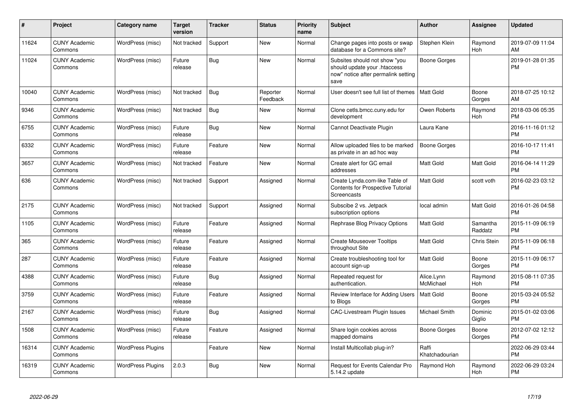| #     | Project                         | <b>Category name</b>     | <b>Target</b><br>version | <b>Tracker</b> | <b>Status</b>        | <b>Priority</b><br>name | <b>Subject</b>                                                                                               | <b>Author</b>           | <b>Assignee</b>     | <b>Updated</b>                |
|-------|---------------------------------|--------------------------|--------------------------|----------------|----------------------|-------------------------|--------------------------------------------------------------------------------------------------------------|-------------------------|---------------------|-------------------------------|
| 11624 | <b>CUNY Academic</b><br>Commons | WordPress (misc)         | Not tracked              | Support        | <b>New</b>           | Normal                  | Change pages into posts or swap<br>database for a Commons site?                                              | Stephen Klein           | Raymond<br>Hoh      | 2019-07-09 11:04<br>AM        |
| 11024 | <b>CUNY Academic</b><br>Commons | WordPress (misc)         | Future<br>release        | Bug            | <b>New</b>           | Normal                  | Subsites should not show "you<br>should update your .htaccess<br>now" notice after permalink setting<br>save | Boone Gorges            |                     | 2019-01-28 01:35<br><b>PM</b> |
| 10040 | <b>CUNY Academic</b><br>Commons | WordPress (misc)         | Not tracked              | Bug            | Reporter<br>Feedback | Normal                  | User doesn't see full list of themes                                                                         | <b>Matt Gold</b>        | Boone<br>Gorges     | 2018-07-25 10:12<br>AM        |
| 9346  | <b>CUNY Academic</b><br>Commons | WordPress (misc)         | Not tracked              | Bug            | New                  | Normal                  | Clone cetls.bmcc.cuny.edu for<br>development                                                                 | Owen Roberts            | Raymond<br>Hoh      | 2018-03-06 05:35<br><b>PM</b> |
| 6755  | <b>CUNY Academic</b><br>Commons | WordPress (misc)         | Future<br>release        | Bug            | <b>New</b>           | Normal                  | Cannot Deactivate Plugin                                                                                     | Laura Kane              |                     | 2016-11-16 01:12<br><b>PM</b> |
| 6332  | <b>CUNY Academic</b><br>Commons | WordPress (misc)         | Future<br>release        | Feature        | New                  | Normal                  | Allow uploaded files to be marked<br>as private in an ad hoc way                                             | Boone Gorges            |                     | 2016-10-17 11:41<br><b>PM</b> |
| 3657  | <b>CUNY Academic</b><br>Commons | WordPress (misc)         | Not tracked              | Feature        | New                  | Normal                  | Create alert for GC email<br>addresses                                                                       | <b>Matt Gold</b>        | Matt Gold           | 2016-04-14 11:29<br><b>PM</b> |
| 636   | <b>CUNY Academic</b><br>Commons | WordPress (misc)         | Not tracked              | Support        | Assigned             | Normal                  | Create Lynda.com-like Table of<br><b>Contents for Prospective Tutorial</b><br>Screencasts                    | <b>Matt Gold</b>        | scott voth          | 2016-02-23 03:12<br><b>PM</b> |
| 2175  | <b>CUNY Academic</b><br>Commons | WordPress (misc)         | Not tracked              | Support        | Assigned             | Normal                  | Subscibe 2 vs. Jetpack<br>subscription options                                                               | local admin             | Matt Gold           | 2016-01-26 04:58<br><b>PM</b> |
| 1105  | <b>CUNY Academic</b><br>Commons | WordPress (misc)         | Future<br>release        | Feature        | Assigned             | Normal                  | Rephrase Blog Privacy Options                                                                                | <b>Matt Gold</b>        | Samantha<br>Raddatz | 2015-11-09 06:19<br><b>PM</b> |
| 365   | <b>CUNY Academic</b><br>Commons | WordPress (misc)         | Future<br>release        | Feature        | Assigned             | Normal                  | <b>Create Mouseover Tooltips</b><br>throughout Site                                                          | Matt Gold               | Chris Stein         | 2015-11-09 06:18<br><b>PM</b> |
| 287   | <b>CUNY Academic</b><br>Commons | WordPress (misc)         | Future<br>release        | Feature        | Assigned             | Normal                  | Create troubleshooting tool for<br>account sign-up                                                           | <b>Matt Gold</b>        | Boone<br>Gorges     | 2015-11-09 06:17<br><b>PM</b> |
| 4388  | <b>CUNY Academic</b><br>Commons | WordPress (misc)         | Future<br>release        | Bug            | Assigned             | Normal                  | Repeated request for<br>authentication.                                                                      | Alice.Lynn<br>McMichael | Raymond<br>Hoh      | 2015-08-11 07:35<br><b>PM</b> |
| 3759  | <b>CUNY Academic</b><br>Commons | WordPress (misc)         | Future<br>release        | Feature        | Assigned             | Normal                  | Review Interface for Adding Users<br>to Blogs                                                                | Matt Gold               | Boone<br>Gorges     | 2015-03-24 05:52<br><b>PM</b> |
| 2167  | <b>CUNY Academic</b><br>Commons | WordPress (misc)         | Future<br>release        | Bug            | Assigned             | Normal                  | <b>CAC-Livestream Plugin Issues</b>                                                                          | Michael Smith           | Dominic<br>Giglio   | 2015-01-02 03:06<br><b>PM</b> |
| 1508  | <b>CUNY Academic</b><br>Commons | WordPress (misc)         | Future<br>release        | Feature        | Assigned             | Normal                  | Share login cookies across<br>mapped domains                                                                 | Boone Gorges            | Boone<br>Gorges     | 2012-07-02 12:12<br><b>PM</b> |
| 16314 | <b>CUNY Academic</b><br>Commons | <b>WordPress Plugins</b> |                          | Feature        | <b>New</b>           | Normal                  | Install Multicollab plug-in?                                                                                 | Raffi<br>Khatchadourian |                     | 2022-06-29 03:44<br><b>PM</b> |
| 16319 | <b>CUNY Academic</b><br>Commons | <b>WordPress Plugins</b> | 2.0.3                    | Bug            | <b>New</b>           | Normal                  | <b>Request for Events Calendar Pro</b><br>5.14.2 update                                                      | Raymond Hoh             | Raymond<br>Hoh      | 2022-06-29 03:24<br><b>PM</b> |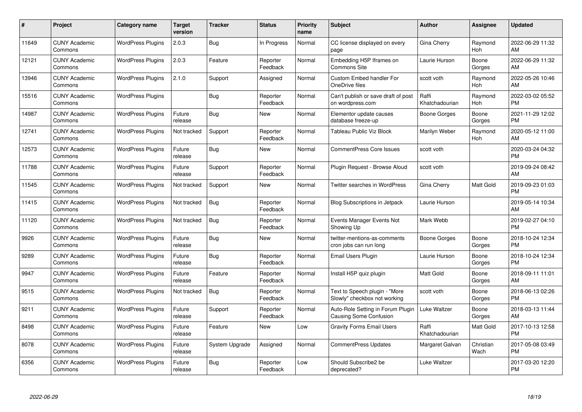| #     | Project                         | <b>Category name</b>     | <b>Target</b><br>version | <b>Tracker</b> | <b>Status</b>        | Priority<br>name | <b>Subject</b>                                                | <b>Author</b>           | <b>Assignee</b>   | <b>Updated</b>                |
|-------|---------------------------------|--------------------------|--------------------------|----------------|----------------------|------------------|---------------------------------------------------------------|-------------------------|-------------------|-------------------------------|
| 11649 | <b>CUNY Academic</b><br>Commons | <b>WordPress Plugins</b> | 2.0.3                    | Bug            | In Progress          | Normal           | CC license displayed on every<br>page                         | Gina Cherry             | Raymond<br>Hoh    | 2022-06-29 11:32<br>AM        |
| 12121 | <b>CUNY Academic</b><br>Commons | <b>WordPress Plugins</b> | 2.0.3                    | Feature        | Reporter<br>Feedback | Normal           | Embedding H5P Iframes on<br><b>Commons Site</b>               | Laurie Hurson           | Boone<br>Gorges   | 2022-06-29 11:32<br>AM        |
| 13946 | <b>CUNY Academic</b><br>Commons | <b>WordPress Plugins</b> | 2.1.0                    | Support        | Assigned             | Normal           | <b>Custom Embed handler For</b><br>OneDrive files             | scott voth              | Raymond<br>Hoh    | 2022-05-26 10:46<br>AM        |
| 15516 | <b>CUNY Academic</b><br>Commons | <b>WordPress Plugins</b> |                          | Bug            | Reporter<br>Feedback | Normal           | Can't publish or save draft of post<br>on wordpress.com       | Raffi<br>Khatchadourian | Raymond<br>Hoh    | 2022-03-02 05:52<br><b>PM</b> |
| 14987 | <b>CUNY Academic</b><br>Commons | <b>WordPress Plugins</b> | Future<br>release        | Bug            | New                  | Normal           | Elementor update causes<br>database freeze-up                 | Boone Gorges            | Boone<br>Gorges   | 2021-11-29 12:02<br><b>PM</b> |
| 12741 | <b>CUNY Academic</b><br>Commons | <b>WordPress Plugins</b> | Not tracked              | Support        | Reporter<br>Feedback | Normal           | Tableau Public Viz Block                                      | Marilyn Weber           | Raymond<br>Hoh    | 2020-05-12 11:00<br>AM        |
| 12573 | <b>CUNY Academic</b><br>Commons | <b>WordPress Plugins</b> | Future<br>release        | Bug            | New                  | Normal           | <b>CommentPress Core Issues</b>                               | scott voth              |                   | 2020-03-24 04:32<br><b>PM</b> |
| 11788 | <b>CUNY Academic</b><br>Commons | <b>WordPress Plugins</b> | Future<br>release        | Support        | Reporter<br>Feedback | Normal           | Plugin Request - Browse Aloud                                 | scott voth              |                   | 2019-09-24 08:42<br>AM        |
| 11545 | <b>CUNY Academic</b><br>Commons | <b>WordPress Plugins</b> | Not tracked              | Support        | New                  | Normal           | Twitter searches in WordPress                                 | Gina Cherry             | Matt Gold         | 2019-09-23 01:03<br><b>PM</b> |
| 11415 | <b>CUNY Academic</b><br>Commons | <b>WordPress Plugins</b> | Not tracked              | Bug            | Reporter<br>Feedback | Normal           | <b>Blog Subscriptions in Jetpack</b>                          | Laurie Hurson           |                   | 2019-05-14 10:34<br>AM        |
| 11120 | <b>CUNY Academic</b><br>Commons | <b>WordPress Plugins</b> | Not tracked              | Bug            | Reporter<br>Feedback | Normal           | Events Manager Events Not<br>Showing Up                       | Mark Webb               |                   | 2019-02-27 04:10<br><b>PM</b> |
| 9926  | <b>CUNY Academic</b><br>Commons | <b>WordPress Plugins</b> | Future<br>release        | Bug            | <b>New</b>           | Normal           | twitter-mentions-as-comments<br>cron jobs can run long        | Boone Gorges            | Boone<br>Gorges   | 2018-10-24 12:34<br><b>PM</b> |
| 9289  | <b>CUNY Academic</b><br>Commons | <b>WordPress Plugins</b> | Future<br>release        | Bug            | Reporter<br>Feedback | Normal           | Email Users Plugin                                            | Laurie Hurson           | Boone<br>Gorges   | 2018-10-24 12:34<br><b>PM</b> |
| 9947  | <b>CUNY Academic</b><br>Commons | <b>WordPress Plugins</b> | Future<br>release        | Feature        | Reporter<br>Feedback | Normal           | Install H5P quiz plugin                                       | <b>Matt Gold</b>        | Boone<br>Gorges   | 2018-09-11 11:01<br>AM        |
| 9515  | <b>CUNY Academic</b><br>Commons | <b>WordPress Plugins</b> | Not tracked              | Bug            | Reporter<br>Feedback | Normal           | Text to Speech plugin - "More<br>Slowly" checkbox not working | scott voth              | Boone<br>Gorges   | 2018-06-13 02:26<br><b>PM</b> |
| 9211  | <b>CUNY Academic</b><br>Commons | <b>WordPress Plugins</b> | Future<br>release        | Support        | Reporter<br>Feedback | Normal           | Auto-Role Setting in Forum Plugin<br>Causing Some Confusion   | Luke Waltzer            | Boone<br>Gorges   | 2018-03-13 11:44<br>AM        |
| 8498  | <b>CUNY Academic</b><br>Commons | <b>WordPress Plugins</b> | Future<br>release        | Feature        | New                  | Low              | <b>Gravity Forms Email Users</b>                              | Raffi<br>Khatchadourian | Matt Gold         | 2017-10-13 12:58<br><b>PM</b> |
| 8078  | <b>CUNY Academic</b><br>Commons | <b>WordPress Plugins</b> | Future<br>release        | System Upgrade | Assigned             | Normal           | CommentPress Updates                                          | Margaret Galvan         | Christian<br>Wach | 2017-05-08 03:49<br><b>PM</b> |
| 6356  | CUNY Academic<br>Commons        | <b>WordPress Plugins</b> | Future<br>release        | Bug            | Reporter<br>Feedback | Low              | Should Subscribe2 be<br>deprecated?                           | Luke Waltzer            |                   | 2017-03-20 12:20<br><b>PM</b> |